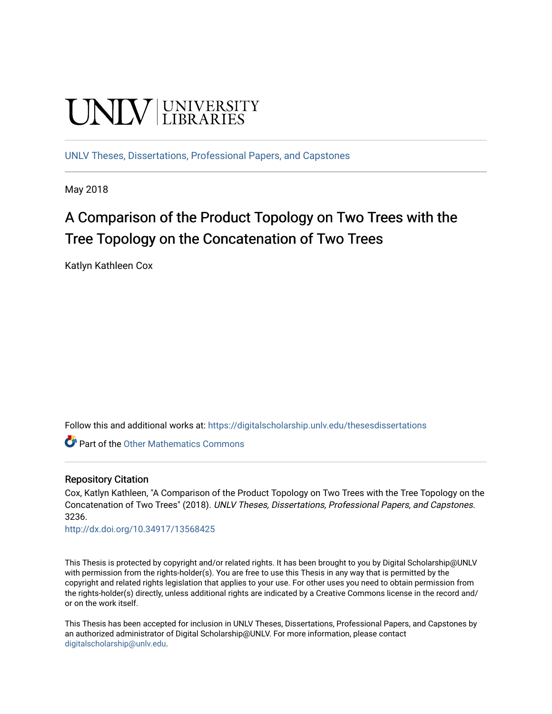# **UNIVERSITY**

[UNLV Theses, Dissertations, Professional Papers, and Capstones](https://digitalscholarship.unlv.edu/thesesdissertations)

May 2018

# A Comparison of the Product Topology on Two Trees with the Tree Topology on the Concatenation of Two Trees

Katlyn Kathleen Cox

Follow this and additional works at: [https://digitalscholarship.unlv.edu/thesesdissertations](https://digitalscholarship.unlv.edu/thesesdissertations?utm_source=digitalscholarship.unlv.edu%2Fthesesdissertations%2F3236&utm_medium=PDF&utm_campaign=PDFCoverPages)

**Part of the [Other Mathematics Commons](http://network.bepress.com/hgg/discipline/185?utm_source=digitalscholarship.unlv.edu%2Fthesesdissertations%2F3236&utm_medium=PDF&utm_campaign=PDFCoverPages)** 

#### Repository Citation

Cox, Katlyn Kathleen, "A Comparison of the Product Topology on Two Trees with the Tree Topology on the Concatenation of Two Trees" (2018). UNLV Theses, Dissertations, Professional Papers, and Capstones. 3236.

<http://dx.doi.org/10.34917/13568425>

This Thesis is protected by copyright and/or related rights. It has been brought to you by Digital Scholarship@UNLV with permission from the rights-holder(s). You are free to use this Thesis in any way that is permitted by the copyright and related rights legislation that applies to your use. For other uses you need to obtain permission from the rights-holder(s) directly, unless additional rights are indicated by a Creative Commons license in the record and/ or on the work itself.

This Thesis has been accepted for inclusion in UNLV Theses, Dissertations, Professional Papers, and Capstones by an authorized administrator of Digital Scholarship@UNLV. For more information, please contact [digitalscholarship@unlv.edu](mailto:digitalscholarship@unlv.edu).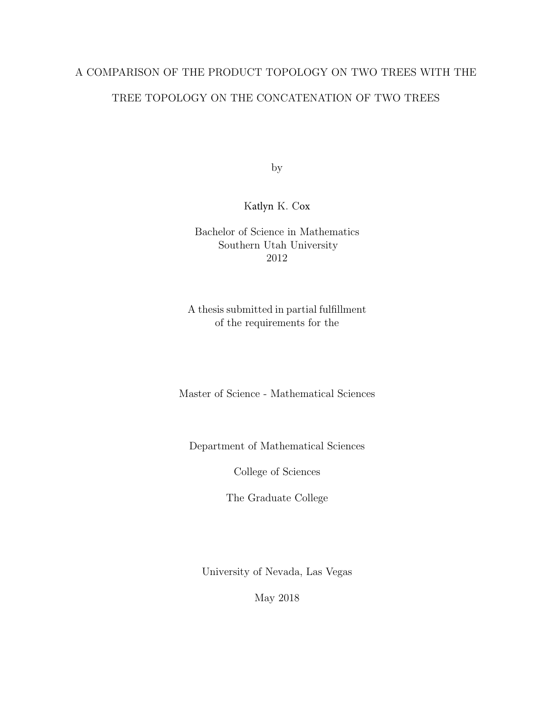## A COMPARISON OF THE PRODUCT TOPOLOGY ON TWO TREES WITH THE TREE TOPOLOGY ON THE CONCATENATION OF TWO TREES

by

#### Katlyn K. Cox

Bachelor of Science in Mathematics Southern Utah University 2012

A thesis submitted in partial fulfillment of the requirements for the

Master of Science - Mathematical Sciences

Department of Mathematical Sciences

College of Sciences

The Graduate College

University of Nevada, Las Vegas

May 2018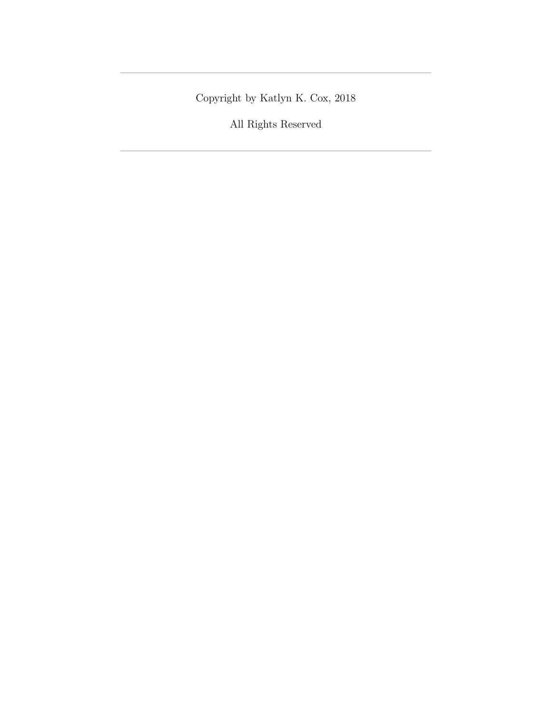Copyright by Katlyn K. Cox, 2018

—————————————————————————————–

All Rights Reserved

 $\overline{\phantom{a}}$  , and the set of the set of the set of the set of the set of the set of the set of the set of the set of the set of the set of the set of the set of the set of the set of the set of the set of the set of the s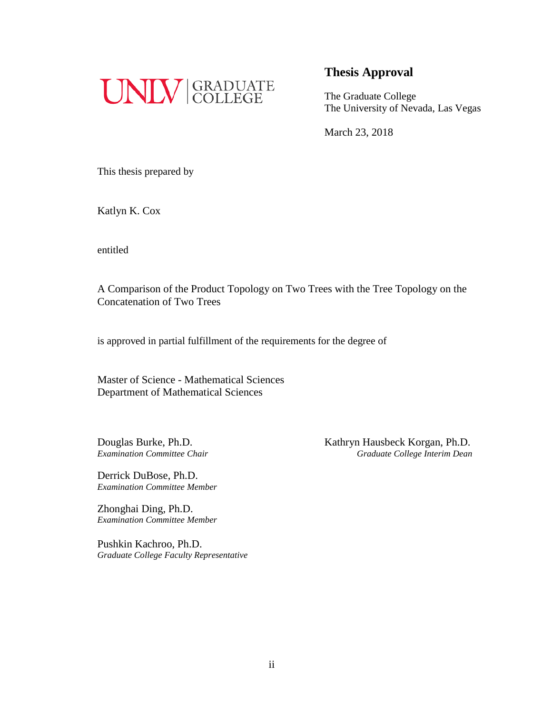

The Graduate College The University of Nevada, Las Vegas

March 23, 2018

This thesis prepared by

Katlyn K. Cox

entitled

A Comparison of the Product Topology on Two Trees with the Tree Topology on the Concatenation of Two Trees

is approved in partial fulfillment of the requirements for the degree of

Master of Science - Mathematical Sciences Department of Mathematical Sciences

Derrick DuBose, Ph.D. *Examination Committee Member*

Zhonghai Ding, Ph.D. *Examination Committee Member*

Pushkin Kachroo, Ph.D. *Graduate College Faculty Representative*

Douglas Burke, Ph.D. Kathryn Hausbeck Korgan, Ph.D. *Examination Committee Chair Graduate College Interim Dean*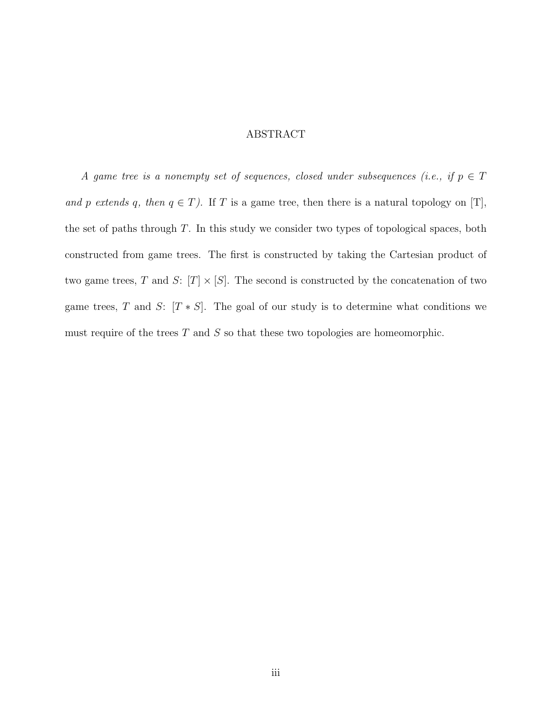#### ABSTRACT

A game tree is a nonempty set of sequences, closed under subsequences (i.e., if  $p \in T$ and p extends q, then  $q \in T$ ). If T is a game tree, then there is a natural topology on [T], the set of paths through T. In this study we consider two types of topological spaces, both constructed from game trees. The first is constructed by taking the Cartesian product of two game trees, T and S:  $[T] \times [S]$ . The second is constructed by the concatenation of two game trees, T and S:  $[T * S]$ . The goal of our study is to determine what conditions we must require of the trees  $T$  and  $S$  so that these two topologies are homeomorphic.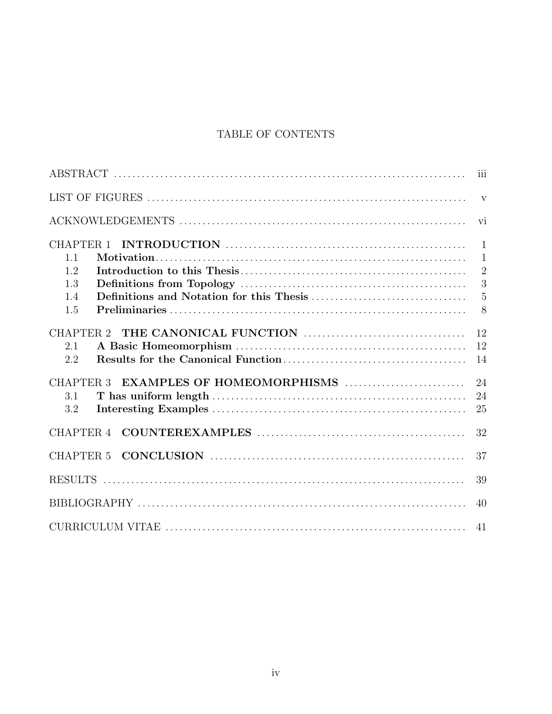### TABLE OF CONTENTS

|                                                    | iii            |
|----------------------------------------------------|----------------|
|                                                    | $\mathbf{V}$   |
|                                                    | vi             |
| CHAPTER <sub>1</sub>                               | $\mathbf{1}$   |
| 1.1                                                | $\mathbf{1}$   |
| 1.2                                                | $\overline{2}$ |
| 1.3                                                | 3              |
| 1.4                                                | $\overline{5}$ |
| 1.5                                                | 8              |
| CHAPTER <sub>2</sub>                               | 12             |
| 2.1                                                | 12             |
| 2.2                                                | 14             |
| EXAMPLES OF HOMEOMORPHISMS<br>CHAPTER <sub>3</sub> | 24             |
| 3.1                                                | 24             |
| 3.2                                                | 25             |
| CHAPTER <sub>4</sub>                               | 32             |
| CHAPTER <sub>5</sub>                               | 37             |
|                                                    | 39             |
|                                                    | 40             |
|                                                    | 41             |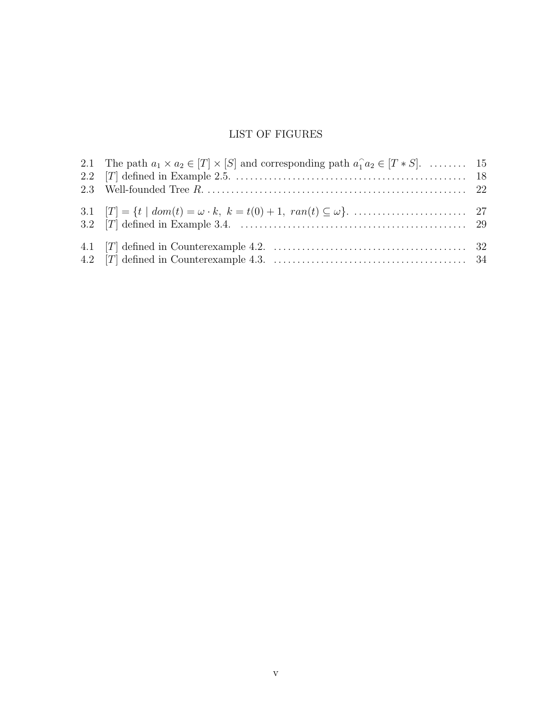### LIST OF FIGURES

| 2.1 The path $a_1 \times a_2 \in [T] \times [S]$ and corresponding path $a_1 \cdot a_2 \in [T \ast S]$ .  15 |  |
|--------------------------------------------------------------------------------------------------------------|--|
|                                                                                                              |  |
|                                                                                                              |  |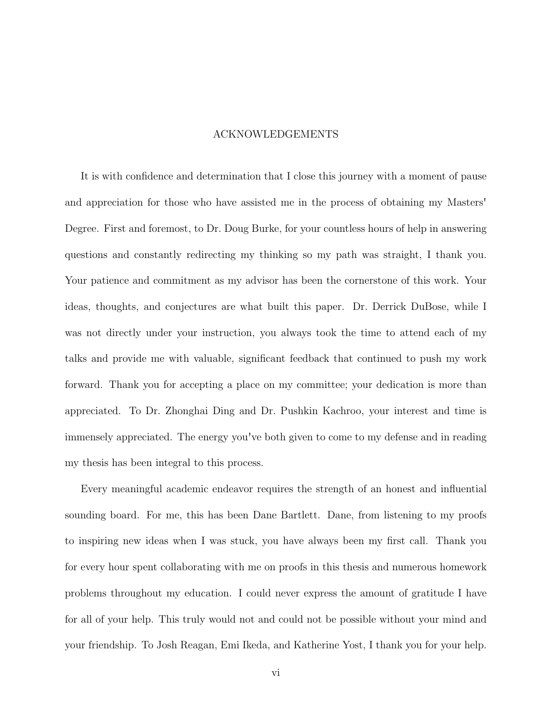#### ACKNOWLEDGEMENTS

It is with confidence and determination that I close this journey with a moment of pause and appreciation for those who have assisted me in the process of obtaining my Masters' Degree. First and foremost, to Dr. Doug Burke, for your countless hours of help in answering questions and constantly redirecting my thinking so my path was straight, I thank you. Your patience and commitment as my advisor has been the cornerstone of this work. Your ideas, thoughts, and conjectures are what built this paper. Dr. Derrick DuBose, while I was not directly under your instruction, you always took the time to attend each of my talks and provide me with valuable, significant feedback that continued to push my work forward. Thank you for accepting a place on my committee; your dedication is more than appreciated. To Dr. Zhonghai Ding and Dr. Pushkin Kachroo, your interest and time is immensely appreciated. The energy you've both given to come to my defense and in reading my thesis has been integral to this process.

Every meaningful academic endeavor requires the strength of an honest and influential sounding board. For me, this has been Dane Bartlett. Dane, from listening to my proofs to inspiring new ideas when I was stuck, you have always been my first call. Thank you for every hour spent collaborating with me on proofs in this thesis and numerous homework problems throughout my education. I could never express the amount of gratitude I have for all of your help. This truly would not and could not be possible without your mind and your friendship. To Josh Reagan, Emi Ikeda, and Katherine Yost, I thank you for your help.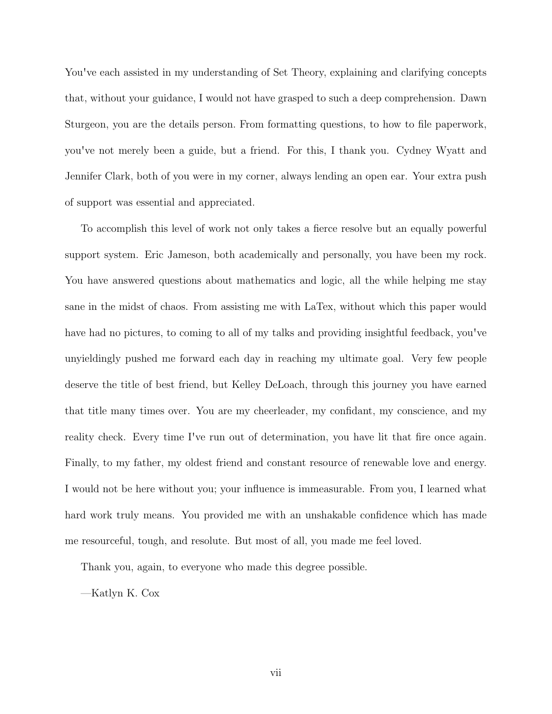You've each assisted in my understanding of Set Theory, explaining and clarifying concepts that, without your guidance, I would not have grasped to such a deep comprehension. Dawn Sturgeon, you are the details person. From formatting questions, to how to file paperwork, you've not merely been a guide, but a friend. For this, I thank you. Cydney Wyatt and Jennifer Clark, both of you were in my corner, always lending an open ear. Your extra push of support was essential and appreciated.

To accomplish this level of work not only takes a fierce resolve but an equally powerful support system. Eric Jameson, both academically and personally, you have been my rock. You have answered questions about mathematics and logic, all the while helping me stay sane in the midst of chaos. From assisting me with LaTex, without which this paper would have had no pictures, to coming to all of my talks and providing insightful feedback, you've unyieldingly pushed me forward each day in reaching my ultimate goal. Very few people deserve the title of best friend, but Kelley DeLoach, through this journey you have earned that title many times over. You are my cheerleader, my confidant, my conscience, and my reality check. Every time I've run out of determination, you have lit that fire once again. Finally, to my father, my oldest friend and constant resource of renewable love and energy. I would not be here without you; your influence is immeasurable. From you, I learned what hard work truly means. You provided me with an unshakable confidence which has made me resourceful, tough, and resolute. But most of all, you made me feel loved.

Thank you, again, to everyone who made this degree possible.

—Katlyn K. Cox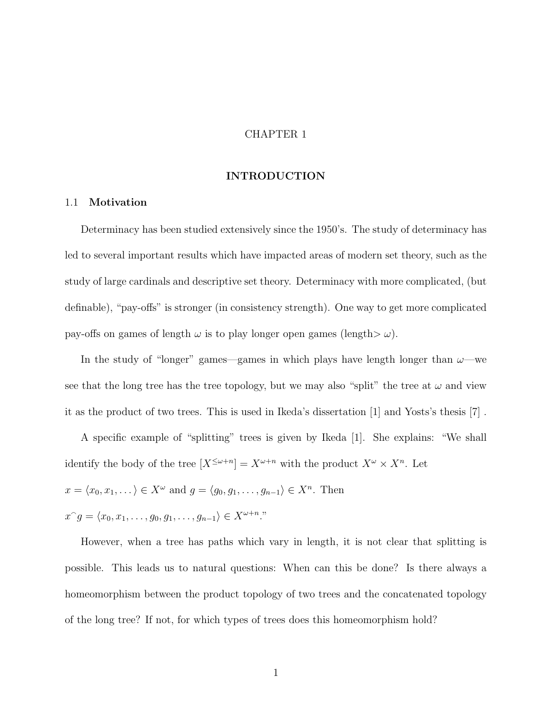#### CHAPTER 1

#### INTRODUCTION

#### 1.1 Motivation

Determinacy has been studied extensively since the 1950's. The study of determinacy has led to several important results which have impacted areas of modern set theory, such as the study of large cardinals and descriptive set theory. Determinacy with more complicated, (but definable), "pay-offs" is stronger (in consistency strength). One way to get more complicated pay-offs on games of length  $\omega$  is to play longer open games (length $>\omega$ ).

In the study of "longer" games—games in which plays have length longer than  $\omega$ —we see that the long tree has the tree topology, but we may also "split" the tree at  $\omega$  and view it as the product of two trees. This is used in Ikeda's dissertation [1] and Yosts's thesis [7] .

A specific example of "splitting" trees is given by Ikeda [1]. She explains: "We shall identify the body of the tree  $[X^{\leq \omega+n}] = X^{\omega+n}$  with the product  $X^{\omega} \times X^{n}$ . Let

$$
x = \langle x_0, x_1, \dots \rangle \in X^{\omega}
$$
 and  $g = \langle g_0, g_1, \dots, g_{n-1} \rangle \in X^n$ . Then

$$
x^{\smallfrown} g = \langle x_0, x_1, \ldots, g_0, g_1, \ldots, g_{n-1} \rangle \in X^{\omega + n}
$$

However, when a tree has paths which vary in length, it is not clear that splitting is possible. This leads us to natural questions: When can this be done? Is there always a homeomorphism between the product topology of two trees and the concatenated topology of the long tree? If not, for which types of trees does this homeomorphism hold?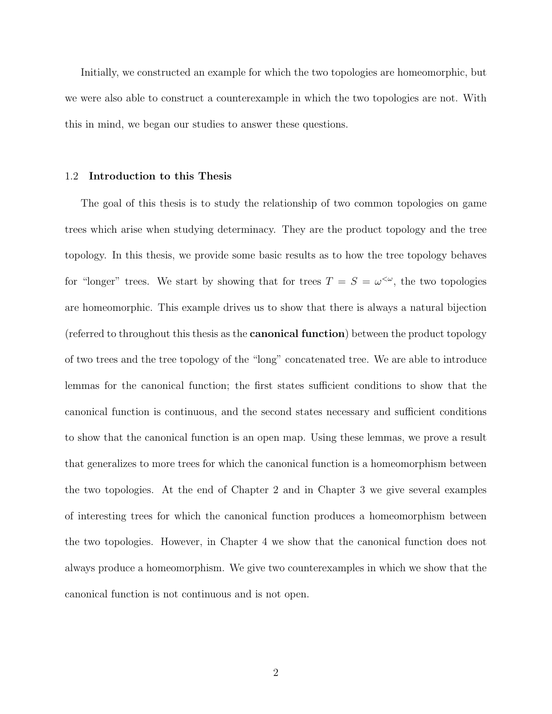Initially, we constructed an example for which the two topologies are homeomorphic, but we were also able to construct a counterexample in which the two topologies are not. With this in mind, we began our studies to answer these questions.

#### 1.2 Introduction to this Thesis

The goal of this thesis is to study the relationship of two common topologies on game trees which arise when studying determinacy. They are the product topology and the tree topology. In this thesis, we provide some basic results as to how the tree topology behaves for "longer" trees. We start by showing that for trees  $T = S = \omega^{\langle \omega \rangle}$ , the two topologies are homeomorphic. This example drives us to show that there is always a natural bijection (referred to throughout this thesis as the canonical function) between the product topology of two trees and the tree topology of the "long" concatenated tree. We are able to introduce lemmas for the canonical function; the first states sufficient conditions to show that the canonical function is continuous, and the second states necessary and sufficient conditions to show that the canonical function is an open map. Using these lemmas, we prove a result that generalizes to more trees for which the canonical function is a homeomorphism between the two topologies. At the end of Chapter 2 and in Chapter 3 we give several examples of interesting trees for which the canonical function produces a homeomorphism between the two topologies. However, in Chapter 4 we show that the canonical function does not always produce a homeomorphism. We give two counterexamples in which we show that the canonical function is not continuous and is not open.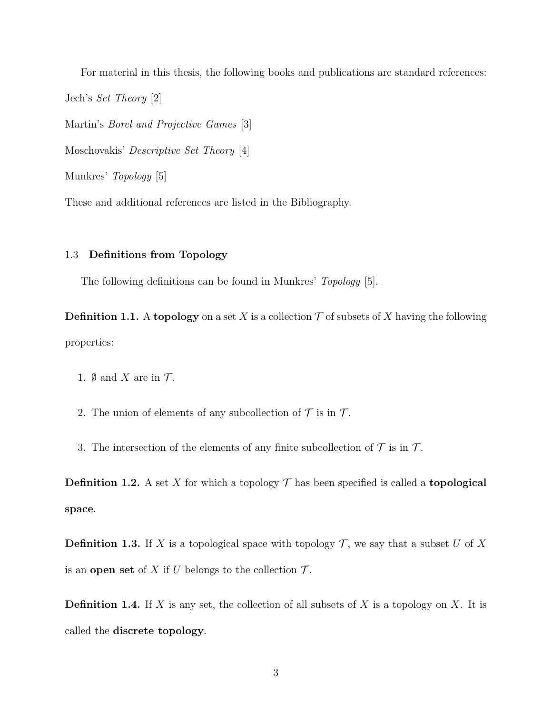For material in this thesis, the following books and publications are standard references: Jech's Set Theory [2] Martin's Borel and Projective Games [3] Moschovakis' Descriptive Set Theory [4]

Munkres' Topology [5]

These and additional references are listed in the Bibliography.

#### 1.3 Definitions from Topology

The following definitions can be found in Munkres' *Topology* [5].

**Definition 1.1.** A topology on a set X is a collection  $\mathcal T$  of subsets of X having the following properties:

- 1.  $\emptyset$  and X are in  $\mathcal{T}$ .
- 2. The union of elements of any subcollection of  $\mathcal T$  is in  $\mathcal T$ .
- 3. The intersection of the elements of any finite subcollection of  $\mathcal T$  is in  $\mathcal T$ .

**Definition 1.2.** A set X for which a topology  $\mathcal{T}$  has been specified is called a **topological** space.

**Definition 1.3.** If X is a topological space with topology  $\mathcal{T}$ , we say that a subset U of X is an open set of X if U belongs to the collection  $\mathcal{T}$ .

**Definition 1.4.** If X is any set, the collection of all subsets of X is a topology on X. It is called the discrete topology.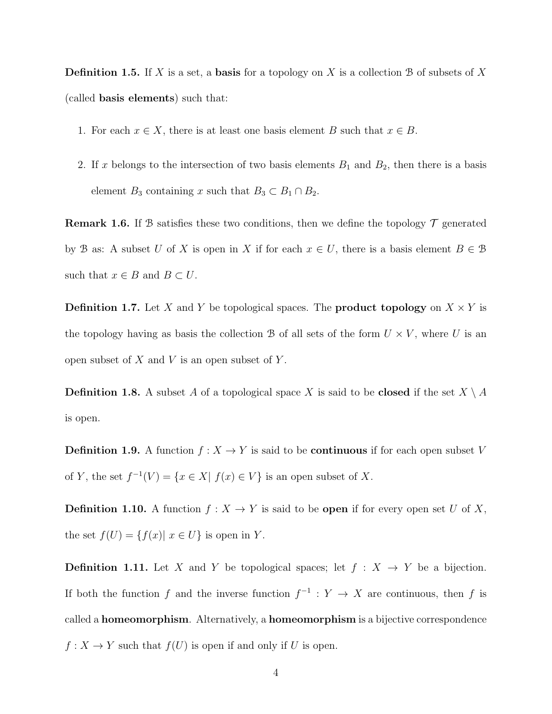**Definition 1.5.** If X is a set, a **basis** for a topology on X is a collection B of subsets of X (called basis elements) such that:

- 1. For each  $x \in X$ , there is at least one basis element B such that  $x \in B$ .
- 2. If x belongs to the intersection of two basis elements  $B_1$  and  $B_2$ , then there is a basis element  $B_3$  containing x such that  $B_3 \subset B_1 \cap B_2$ .

**Remark 1.6.** If B satisfies these two conditions, then we define the topology  $\mathcal{T}$  generated by B as: A subset U of X is open in X if for each  $x \in U$ , there is a basis element  $B \in \mathcal{B}$ such that  $x \in B$  and  $B \subset U$ .

**Definition 1.7.** Let X and Y be topological spaces. The **product topology** on  $X \times Y$  is the topology having as basis the collection B of all sets of the form  $U \times V$ , where U is an open subset of  $X$  and  $V$  is an open subset of  $Y$ .

**Definition 1.8.** A subset A of a topological space X is said to be **closed** if the set  $X \setminus A$ is open.

**Definition 1.9.** A function  $f : X \to Y$  is said to be **continuous** if for each open subset V of Y, the set  $f^{-1}(V) = \{x \in X | f(x) \in V\}$  is an open subset of X.

**Definition 1.10.** A function  $f : X \to Y$  is said to be **open** if for every open set U of X, the set  $f(U) = \{f(x) | x \in U\}$  is open in Y.

**Definition 1.11.** Let X and Y be topological spaces; let  $f : X \rightarrow Y$  be a bijection. If both the function f and the inverse function  $f^{-1}: Y \to X$  are continuous, then f is called a homeomorphism. Alternatively, a homeomorphism is a bijective correspondence  $f: X \to Y$  such that  $f(U)$  is open if and only if U is open.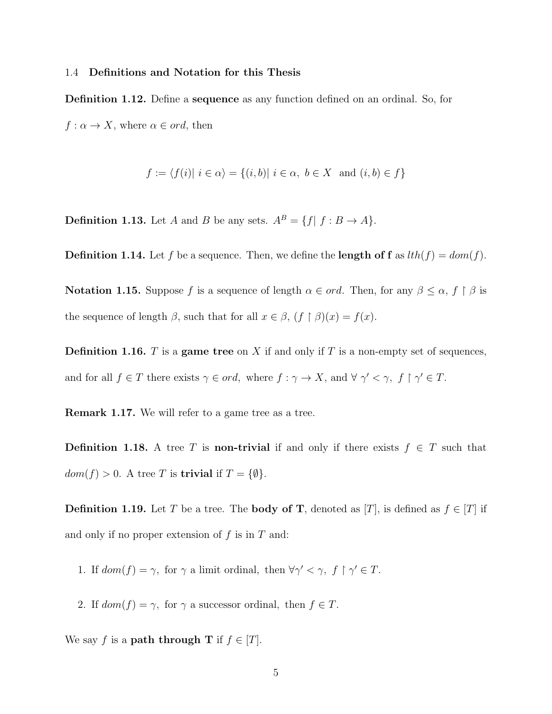#### 1.4 Definitions and Notation for this Thesis

Definition 1.12. Define a sequence as any function defined on an ordinal. So, for  $f: \alpha \to X$ , where  $\alpha \in ord$ , then

$$
f := \langle f(i) | i \in \alpha \rangle = \{ (i, b) | i \in \alpha, b \in X \text{ and } (i, b) \in f \}
$$

**Definition 1.13.** Let A and B be any sets.  $A^B = \{f | f : B \to A\}.$ 

**Definition 1.14.** Let f be a sequence. Then, we define the **length of f** as  $lth(f) = dom(f)$ .

**Notation 1.15.** Suppose f is a sequence of length  $\alpha \in ord$ . Then, for any  $\beta \leq \alpha$ ,  $f \restriction \beta$  is the sequence of length  $\beta$ , such that for all  $x \in \beta$ ,  $(f \restriction \beta)(x) = f(x)$ .

**Definition 1.16.** T is a game tree on X if and only if T is a non-empty set of sequences, and for all  $f \in T$  there exists  $\gamma \in ord$ , where  $f : \gamma \to X$ , and  $\forall \gamma' < \gamma$ ,  $f \upharpoonright \gamma' \in T$ .

Remark 1.17. We will refer to a game tree as a tree.

**Definition 1.18.** A tree T is **non-trivial** if and only if there exists  $f \in T$  such that  $dom(f) > 0$ . A tree T is **trivial** if  $T = \{\emptyset\}.$ 

**Definition 1.19.** Let T be a tree. The **body of T**, denoted as [T], is defined as  $f \in [T]$  if and only if no proper extension of  $f$  is in  $T$  and:

- 1. If  $dom(f) = \gamma$ , for  $\gamma$  a limit ordinal, then  $\forall \gamma' < \gamma$ ,  $f \restriction \gamma' \in T$ .
- 2. If  $dom(f) = \gamma$ , for  $\gamma$  a successor ordinal, then  $f \in T$ .

We say f is a **path through T** if  $f \in [T]$ .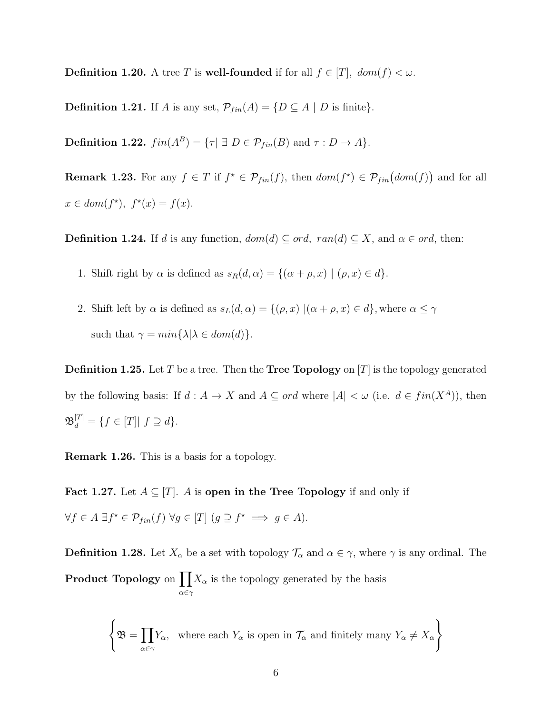**Definition 1.20.** A tree T is **well-founded** if for all  $f \in [T]$ ,  $dom(f) < \omega$ .

**Definition 1.21.** If A is any set,  $\mathcal{P}_{fin}(A) = \{D \subseteq A \mid D \text{ is finite}\}.$ 

**Definition 1.22.**  $fin(A^B) = {\tau | \exists D \in \mathcal{P}_{fin}(B) \text{ and } \tau : D \to A}.$ 

**Remark 1.23.** For any  $f \in T$  if  $f^* \in \mathcal{P}_{fin}(f)$ , then  $dom(f^*) \in \mathcal{P}_{fin}(dom(f))$  and for all  $x \in dom(f^{\star}), f^{\star}(x) = f(x).$ 

**Definition 1.24.** If d is any function,  $dom(d) \subseteq ord$ ,  $ran(d) \subseteq X$ , and  $\alpha \in ord$ , then:

- 1. Shift right by  $\alpha$  is defined as  $s_R(d, \alpha) = \{(\alpha + \rho, x) | (\rho, x) \in d\}.$
- 2. Shift left by  $\alpha$  is defined as  $s_L(d, \alpha) = \{(\rho, x) | (\alpha + \rho, x) \in d\}$ , where  $\alpha \leq \gamma$ such that  $\gamma = min\{\lambda | \lambda \in dom(d)\}.$

**Definition 1.25.** Let T be a tree. Then the **Tree Topology** on  $|T|$  is the topology generated by the following basis: If  $d : A \to X$  and  $A \subseteq ord$  where  $|A| < \omega$  (i.e.  $d \in fin(X^A)$ ), then  $\mathfrak{B}_d^{[T]} = \{ f \in [T] | f \supseteq d \}.$ 

Remark 1.26. This is a basis for a topology.

Fact 1.27. Let  $A \subseteq [T]$ . A is open in the Tree Topology if and only if  $\forall f \in A \; \exists f^* \in \mathcal{P}_{fin}(f) \; \forall g \in [T] \; (g \supseteq f^* \implies g \in A).$ 

**Definition 1.28.** Let  $X_{\alpha}$  be a set with topology  $\mathcal{T}_{\alpha}$  and  $\alpha \in \gamma$ , where  $\gamma$  is any ordinal. The **Product Topology** on  $\prod X_\alpha$  is the topology generated by the basis α∈γ

$$
\left\{ \mathfrak{B} = \prod_{\alpha \in \gamma} Y_{\alpha}, \text{ where each } Y_{\alpha} \text{ is open in } \mathcal{T}_{\alpha} \text{ and finitely many } Y_{\alpha} \neq X_{\alpha} \right\}
$$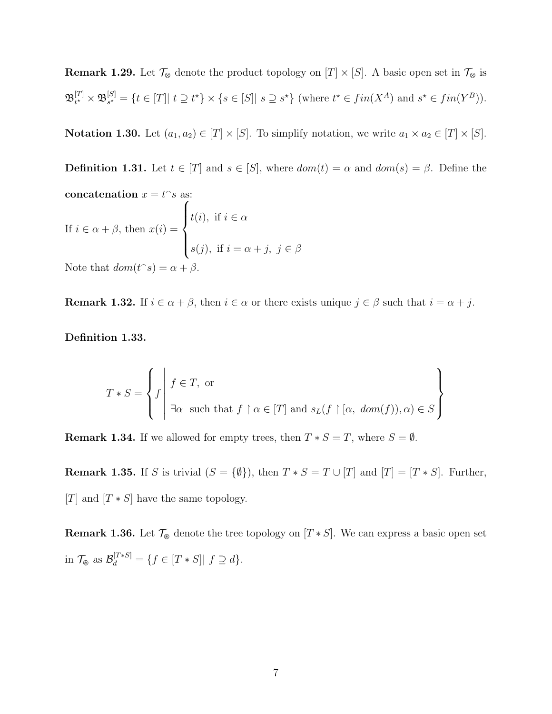**Remark 1.29.** Let  $\mathcal{T}_{\otimes}$  denote the product topology on  $[T] \times [S]$ . A basic open set in  $\mathcal{T}_{\otimes}$  is  $\mathfrak B^{[T]}_{t^\star}$  $_{t^{\star}}^{[T]}\times\mathfrak{B}_{s^{\star}}^{[S]}$  $s^*_{s^*} = \{t \in [T] | t \supseteq t^* \} \times \{s \in [S] | s \supseteq s^* \}$  (where  $t^* \in fin(X^A)$  and  $s^* \in fin(Y^B)$ ).

**Notation 1.30.** Let  $(a_1, a_2) \in [T] \times [S]$ . To simplify notation, we write  $a_1 \times a_2 \in [T] \times [S]$ .

**Definition 1.31.** Let  $t \in [T]$  and  $s \in [S]$ , where  $dom(t) = \alpha$  and  $dom(s) = \beta$ . Define the concatenation  $x = t^{\frown} s$  as: If  $i \in \alpha + \beta$ , then  $x(i) =$  $\sqrt{ }$  $\int$  $\overline{\mathcal{L}}$  $t(i)$ , if  $i \in \alpha$  $s(j)$ , if  $i = \alpha + j$ ,  $j \in \beta$ 

Note that  $dom(t^s) = \alpha + \beta$ .

**Remark 1.32.** If  $i \in \alpha + \beta$ , then  $i \in \alpha$  or there exists unique  $j \in \beta$  such that  $i = \alpha + j$ .

Definition 1.33.

$$
T * S = \left\{ f \middle| f \in T, \text{ or} \atop \exists \alpha \text{ such that } f \upharpoonright \alpha \in [T] \text{ and } s_L(f \upharpoonright [\alpha, \text{ dom}(f)), \alpha) \in S \right\}
$$

**Remark 1.34.** If we allowed for empty trees, then  $T * S = T$ , where  $S = \emptyset$ .

**Remark 1.35.** If S is trivial  $(S = {\emptyset})$ , then  $T * S = T \cup [T]$  and  $[T] = [T * S]$ . Further, [T] and  $[T * S]$  have the same topology.

**Remark 1.36.** Let  $\mathcal{T}_{\mathcal{B}}$  denote the tree topology on  $[T * S]$ . We can express a basic open set in  $\mathcal{T}_{\circledast}$  as  $\mathcal{B}_d^{[T*S]} = \{f \in [T*S] | f \supseteq d\}.$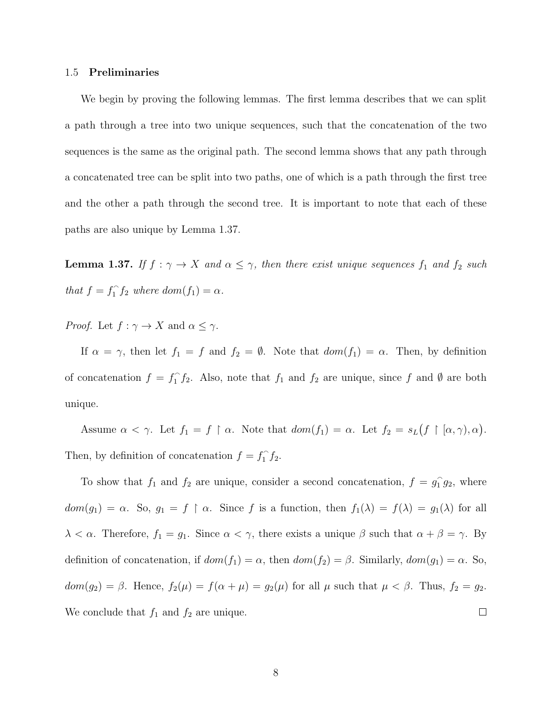#### 1.5 Preliminaries

We begin by proving the following lemmas. The first lemma describes that we can split a path through a tree into two unique sequences, such that the concatenation of the two sequences is the same as the original path. The second lemma shows that any path through a concatenated tree can be split into two paths, one of which is a path through the first tree and the other a path through the second tree. It is important to note that each of these paths are also unique by Lemma 1.37.

**Lemma 1.37.** If  $f : \gamma \to X$  and  $\alpha \leq \gamma$ , then there exist unique sequences  $f_1$  and  $f_2$  such that  $f = f_1^{\frown}$  $\int_1^{\infty} f_2 \text{ where } dom(f_1) = \alpha.$ 

*Proof.* Let  $f : \gamma \to X$  and  $\alpha \leq \gamma$ .

If  $\alpha = \gamma$ , then let  $f_1 = f$  and  $f_2 = \emptyset$ . Note that  $dom(f_1) = \alpha$ . Then, by definition of concatenation  $f = f_1^{\frown}$  $\int_1^{\infty} f_2$ . Also, note that  $f_1$  and  $f_2$  are unique, since f and  $\emptyset$  are both unique.

Assume  $\alpha < \gamma$ . Let  $f_1 = f \restriction \alpha$ . Note that  $dom(f_1) = \alpha$ . Let  $f_2 = s_L(f \restriction [\alpha, \gamma), \alpha)$ . Then, by definition of concatenation  $f = f_1^{\frown}$  $\int_1^{\cdot} f_2$ .

To show that  $f_1$  and  $f_2$  are unique, consider a second concatenation,  $f = g_1^2$  $\hat{1}g_2$ , where  $dom(g_1) = \alpha$ . So,  $g_1 = f \restriction \alpha$ . Since f is a function, then  $f_1(\lambda) = f(\lambda) = g_1(\lambda)$  for all  $\lambda < \alpha$ . Therefore,  $f_1 = g_1$ . Since  $\alpha < \gamma$ , there exists a unique  $\beta$  such that  $\alpha + \beta = \gamma$ . By definition of concatenation, if  $dom(f_1) = \alpha$ , then  $dom(f_2) = \beta$ . Similarly,  $dom(g_1) = \alpha$ . So,  $dom(g_2) = \beta$ . Hence,  $f_2(\mu) = f(\alpha + \mu) = g_2(\mu)$  for all  $\mu$  such that  $\mu < \beta$ . Thus,  $f_2 = g_2$ . We conclude that  $f_1$  and  $f_2$  are unique.  $\Box$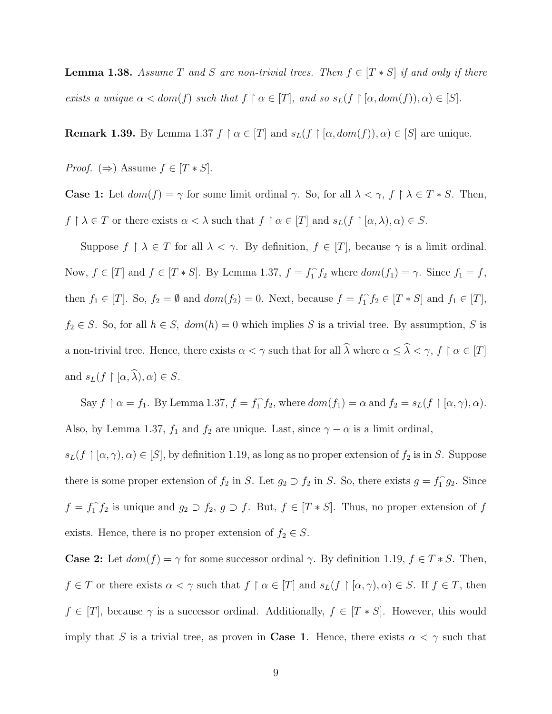**Lemma 1.38.** Assume T and S are non-trivial trees. Then  $f \in [T * S]$  if and only if there exists a unique  $\alpha < dom(f)$  such that  $f \restriction \alpha \in [T]$ , and so  $s_L(f \restriction [\alpha, dom(f)), \alpha) \in [S]$ .

**Remark 1.39.** By Lemma 1.37  $f \restriction \alpha \in [T]$  and  $s_L(f \restriction [\alpha, dom(f)), \alpha) \in [S]$  are unique.

*Proof.* ( $\Rightarrow$ ) Assume  $f \in [T * S]$ .

**Case 1:** Let  $dom(f) = \gamma$  for some limit ordinal  $\gamma$ . So, for all  $\lambda < \gamma$ ,  $f \upharpoonright \lambda \in T * S$ . Then,  $f \restriction \lambda \in T$  or there exists  $\alpha < \lambda$  such that  $f \restriction \alpha \in [T]$  and  $s_L(f \restriction [\alpha, \lambda), \alpha) \in S$ .

Suppose  $f \restriction \lambda \in T$  for all  $\lambda < \gamma$ . By definition,  $f \in [T]$ , because  $\gamma$  is a limit ordinal. Now,  $f \in [T]$  and  $f \in [T * S]$ . By Lemma 1.37,  $f = f_1^{\frown}$  $\int_1^{\infty} f_2$  where  $dom(f_1) = \gamma$ . Since  $f_1 = f$ , then  $f_1 \in [T]$ . So,  $f_2 = \emptyset$  and  $dom(f_2) = 0$ . Next, because  $f = f_1^{\frown}$  $f_1 f_2 \in [T * S]$  and  $f_1 \in [T]$ ,  $f_2 \in S$ . So, for all  $h \in S$ ,  $dom(h) = 0$  which implies S is a trivial tree. By assumption, S is a non-trivial tree. Hence, there exists  $\alpha < \gamma$  such that for all  $\widehat{\lambda}$  where  $\alpha \leq \widehat{\lambda} < \gamma$ ,  $f \restriction \alpha \in [T]$ and  $s_L(f \restriction [\alpha, \widehat{\lambda}), \alpha) \in S$ .

Say  $f \restriction \alpha = f_1$ . By Lemma 1.37,  $f = f_1^{\gamma}$  $\hat{f}_1 f_2$ , where  $dom(f_1) = \alpha$  and  $f_2 = s_L(f \restriction [\alpha, \gamma), \alpha)$ . Also, by Lemma 1.37,  $f_1$  and  $f_2$  are unique. Last, since  $\gamma - \alpha$  is a limit ordinal,

 $s_L(f \restriction [\alpha, \gamma), \alpha) \in [S],$  by definition 1.19, as long as no proper extension of  $f_2$  is in S. Suppose there is some proper extension of  $f_2$  in S. Let  $g_2 \supset f_2$  in S. So, there exists  $g = f_1^{\frown}$  $\int_1^{\infty} g_2$ . Since  $f = f_1^{\frown}$  $f_1 f_2$  is unique and  $g_2 \supset f_2$ ,  $g \supset f$ . But,  $f \in [T * S]$ . Thus, no proper extension of f exists. Hence, there is no proper extension of  $f_2 \in S$ .

**Case 2:** Let  $dom(f) = \gamma$  for some successor ordinal  $\gamma$ . By definition 1.19,  $f \in T * S$ . Then,  $f \in T$  or there exists  $\alpha < \gamma$  such that  $f \restriction \alpha \in [T]$  and  $s_L(f \restriction [\alpha, \gamma), \alpha) \in S$ . If  $f \in T$ , then  $f \in [T]$ , because  $\gamma$  is a successor ordinal. Additionally,  $f \in [T * S]$ . However, this would imply that S is a trivial tree, as proven in **Case 1**. Hence, there exists  $\alpha < \gamma$  such that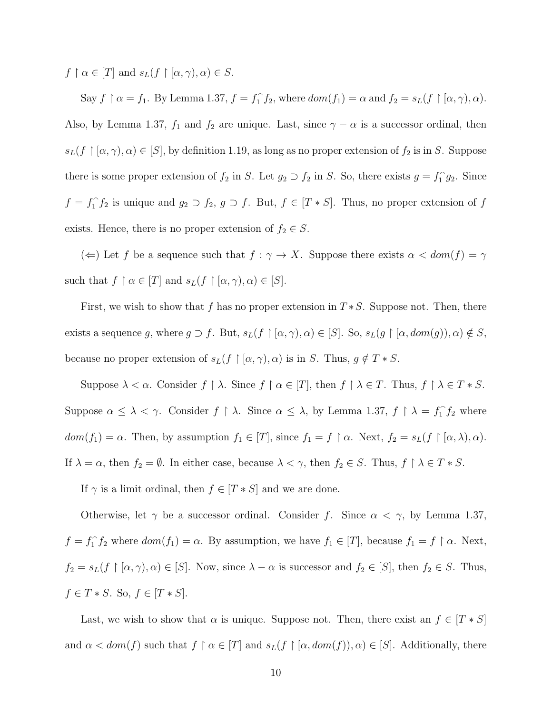$f \restriction \alpha \in [T]$  and  $s_L(f \restriction [\alpha, \gamma), \alpha) \in S$ .

Say  $f \restriction \alpha = f_1$ . By Lemma 1.37,  $f = f_1^{\gamma}$  $f_1^{\hat{}} f_2$ , where  $dom(f_1) = \alpha$  and  $f_2 = s_L(f \restriction [\alpha, \gamma), \alpha)$ . Also, by Lemma 1.37,  $f_1$  and  $f_2$  are unique. Last, since  $\gamma - \alpha$  is a successor ordinal, then  $s_L(f \restriction [\alpha, \gamma), \alpha) \in [S]$ , by definition 1.19, as long as no proper extension of  $f_2$  is in S. Suppose there is some proper extension of  $f_2$  in S. Let  $g_2 \supset f_2$  in S. So, there exists  $g = f_1^{\frown}$  $\int_1^{\infty} g_2$ . Since  $f = f_1^{\frown}$  $f_1 f_2$  is unique and  $g_2 \supset f_2$ ,  $g \supset f$ . But,  $f \in [T * S]$ . Thus, no proper extension of f exists. Hence, there is no proper extension of  $f_2 \in S$ .

(←) Let f be a sequence such that  $f : \gamma \to X$ . Suppose there exists  $\alpha < dom(f) = \gamma$ such that  $f \restriction \alpha \in [T]$  and  $s_L(f \restriction [\alpha, \gamma), \alpha) \in [S]$ .

First, we wish to show that f has no proper extension in  $T*S$ . Suppose not. Then, there exists a sequence g, where  $g \supset f$ . But,  $s_L(f \restriction [\alpha, \gamma), \alpha) \in [S]$ . So,  $s_L(g \restriction [\alpha, dom(g)), \alpha) \notin S$ , because no proper extension of  $s_L(f \restriction [\alpha, \gamma), \alpha)$  is in S. Thus,  $g \notin T * S$ .

Suppose  $\lambda < \alpha$ . Consider  $f \restriction \lambda$ . Since  $f \restriction \alpha \in [T]$ , then  $f \restriction \lambda \in T$ . Thus,  $f \restriction \lambda \in T * S$ . Suppose  $\alpha \leq \lambda < \gamma$ . Consider  $f \restriction \lambda$ . Since  $\alpha \leq \lambda$ , by Lemma 1.37,  $f \restriction \lambda = f_1^{\gamma}$  $\int_1^{\infty} f_2$  where  $dom(f_1) = \alpha$ . Then, by assumption  $f_1 \in [T]$ , since  $f_1 = f \restriction \alpha$ . Next,  $f_2 = s_L(f \restriction [\alpha, \lambda), \alpha)$ . If  $\lambda = \alpha$ , then  $f_2 = \emptyset$ . In either case, because  $\lambda < \gamma$ , then  $f_2 \in S$ . Thus,  $f \upharpoonright \lambda \in T * S$ .

If  $\gamma$  is a limit ordinal, then  $f \in [T * S]$  and we are done.

Otherwise, let  $\gamma$  be a successor ordinal. Consider f. Since  $\alpha < \gamma$ , by Lemma 1.37,  $f = f_1^{\frown}$  $f_1 f_2$  where  $dom(f_1) = \alpha$ . By assumption, we have  $f_1 \in [T]$ , because  $f_1 = f \restriction \alpha$ . Next,  $f_2 = s_L(f \restriction [\alpha, \gamma), \alpha) \in [S]$ . Now, since  $\lambda - \alpha$  is successor and  $f_2 \in [S]$ , then  $f_2 \in S$ . Thus,  $f \in T * S$ . So,  $f \in [T * S]$ .

Last, we wish to show that  $\alpha$  is unique. Suppose not. Then, there exist an  $f \in [T * S]$ and  $\alpha < dom(f)$  such that  $f \restriction \alpha \in [T]$  and  $s_L(f \restriction [\alpha, dom(f)), \alpha) \in [S]$ . Additionally, there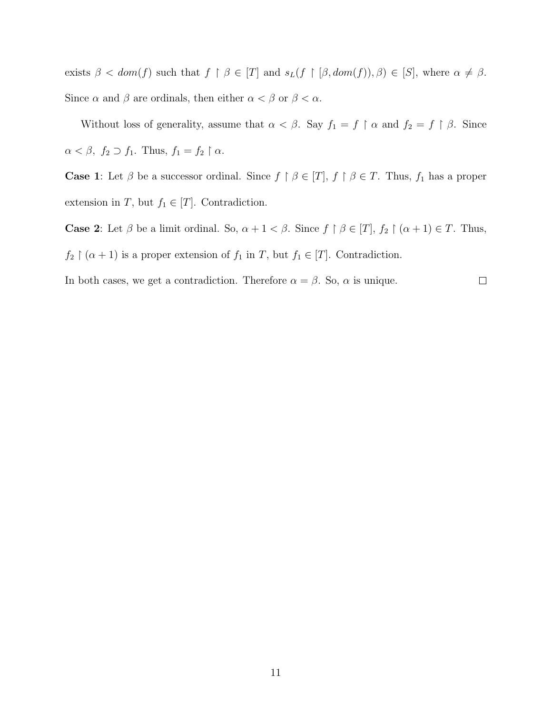exists  $\beta < dom(f)$  such that  $f \upharpoonright \beta \in [T]$  and  $s_L(f \upharpoonright [\beta, dom(f)), \beta) \in [S]$ , where  $\alpha \neq \beta$ . Since  $\alpha$  and  $\beta$  are ordinals, then either  $\alpha < \beta$  or  $\beta < \alpha$ .

Without loss of generality, assume that  $\alpha < \beta$ . Say  $f_1 = f \restriction \alpha$  and  $f_2 = f \restriction \beta$ . Since  $\alpha < \beta, f_2 \supset f_1$ . Thus,  $f_1 = f_2 \upharpoonright \alpha$ .

**Case 1:** Let  $\beta$  be a successor ordinal. Since  $f \restriction \beta \in [T],$   $f \restriction \beta \in T$ . Thus,  $f_1$  has a proper extension in T, but  $f_1 \in [T]$ . Contradiction.

**Case 2:** Let  $\beta$  be a limit ordinal. So,  $\alpha + 1 < \beta$ . Since  $f \restriction \beta \in [T]$ ,  $f_2 \restriction (\alpha + 1) \in T$ . Thus,

 $f_2 \restriction (\alpha + 1)$  is a proper extension of  $f_1$  in  $T$ , but  $f_1 \in [T]$ . Contradiction.

In both cases, we get a contradiction. Therefore  $\alpha = \beta$ . So,  $\alpha$  is unique.  $\Box$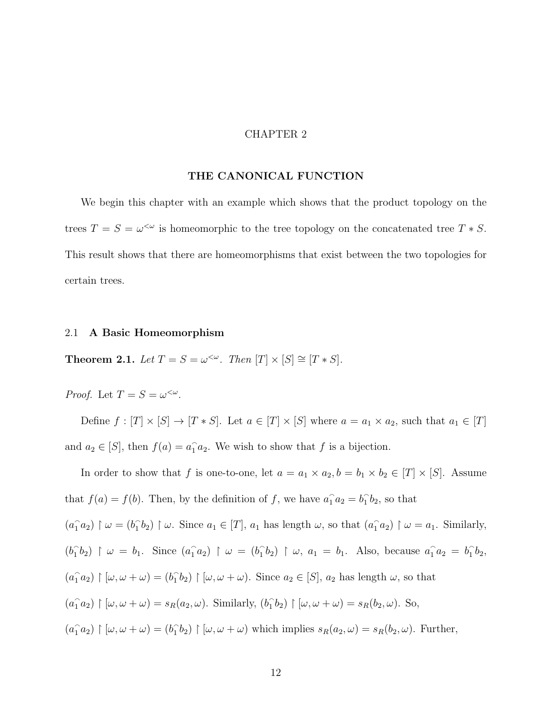#### CHAPTER 2

#### THE CANONICAL FUNCTION

We begin this chapter with an example which shows that the product topology on the trees  $T = S = \omega^{\lt \omega}$  is homeomorphic to the tree topology on the concatenated tree  $T * S$ . This result shows that there are homeomorphisms that exist between the two topologies for certain trees.

#### 2.1 A Basic Homeomorphism

**Theorem 2.1.** Let  $T = S = \omega^{\lt \omega}$ . Then  $[T] \times [S] \cong [T * S]$ .

Proof. Let  $T = S = \omega^{\langle \omega \rangle}$ .

Define  $f : [T] \times [S] \rightarrow [T * S]$ . Let  $a \in [T] \times [S]$  where  $a = a_1 \times a_2$ , such that  $a_1 \in [T]$ and  $a_2 \in [S]$ , then  $f(a) = a_1 a_2$ . We wish to show that f is a bijection.

In order to show that f is one-to-one, let  $a = a_1 \times a_2$ ,  $b = b_1 \times b_2 \in [T] \times [S]$ . Assume that  $f(a) = f(b)$ . Then, by the definition of f, we have  $a_1 a_2 = b_1$  $\hat{b}_2$ , so that  $(a_1^{\frown} a_2) \upharpoonright \omega = (b_1^{\frown})$  $\hat{a}_1$ b<sub>2</sub>)  $\upharpoonright \omega$ . Since  $a_1 \in [T]$ ,  $a_1$  has length  $\omega$ , so that  $(a_1 \hat{a}_2) \upharpoonright \omega = a_1$ . Similarly,  $(b_1)$  $\hat{a}_1b_2$ )  $\upharpoonright \omega = b_1$ . Since  $(a_1a_2)$   $\upharpoonright \omega = (b_1)^2$  $\hat{i}_1b_2$  |  $\omega$ ,  $a_1 = b_1$ . Also, because  $a_1a_2 = b_1$  $\hat{b}_2$  $(a_1^{\frown} a_2) \upharpoonright [\omega, \omega + \omega) = (b_1^{\frown})$  $\hat{i}_1b_2$  |  $[\omega, \omega + \omega)$ . Since  $a_2 \in [S]$ ,  $a_2$  has length  $\omega$ , so that  $(a_1 \hat{a}_2) \upharpoonright [\omega, \omega + \omega] = s_R(a_2, \omega)$ . Similarly,  $(b_1 \hat{b}_2)$  $\hat{p}_1(b_2) \upharpoonright [\omega, \omega + \omega] = s_R(b_2, \omega)$ . So,  $(a_1^{\frown} a_2) \upharpoonright [\omega, \omega + \omega) = (b_1^{\frown})$  $\hat{p}_1(b_2) \upharpoonright [\omega, \omega + \omega)$  which implies  $s_R(a_2, \omega) = s_R(b_2, \omega)$ . Further,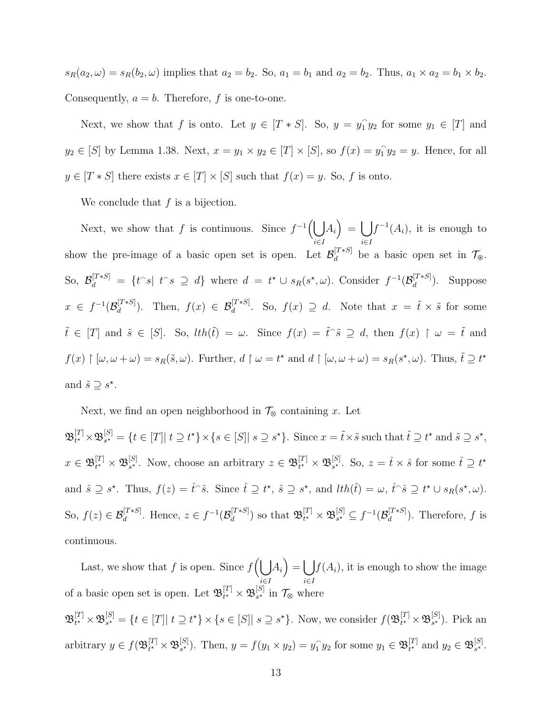$s_R(a_2, \omega) = s_R(b_2, \omega)$  implies that  $a_2 = b_2$ . So,  $a_1 = b_1$  and  $a_2 = b_2$ . Thus,  $a_1 \times a_2 = b_1 \times b_2$ . Consequently,  $a = b$ . Therefore, f is one-to-one.

Next, we show that f is onto. Let  $y \in [T * S]$ . So,  $y = y_1^{\hat{}}$  $_1^{\frown}y_2$  for some  $y_1 \in [T]$  and  $y_2 \in [S]$  by Lemma 1.38. Next,  $x = y_1 \times y_2 \in [T] \times [S]$ , so  $f(x) = y_1$  $\hat{1}y_2 = y$ . Hence, for all  $y \in [T * S]$  there exists  $x \in [T] \times [S]$  such that  $f(x) = y$ . So, f is onto.

We conclude that  $f$  is a bijection.

Next, we show that f is continuous. Since  $f^{-1}(\bigcup A_i) = \bigcup f^{-1}(A_i)$ , it is enough to i∈I i∈I show the pre-image of a basic open set is open. Let  $\mathcal{B}_d^{[T*S]}$  $\mathcal{U}^{[I^{*}S]}$  be a basic open set in  $\mathcal{T}_{\mathcal{D}}$ . So,  $\mathcal{B}_d^{[T*S]} = \{t \cap s | t \cap s \supseteq d\}$  where  $d = t^* \cup s_R(s^*, \omega)$ . Consider  $f^{-1}(\mathcal{B}_d^{[T*S]})$  $\binom{[I * S]}{d}$ . Suppose  $x \in f^{-1}(\mathcal{B}_d^{[T*S]}$  $\mathcal{L}^{[T*S]}_d$ . Then,  $f(x) \in \mathcal{B}_d^{[T*S]}$ . So,  $f(x) \supseteq d$ . Note that  $x = \tilde{t} \times \tilde{s}$  for some  $\tilde{t} \in [T]$  and  $\tilde{s} \in [S]$ . So,  $lth(\tilde{t}) = \omega$ . Since  $f(x) = \tilde{t} \tilde{s} \supseteq d$ , then  $f(x) \upharpoonright \omega = \tilde{t}$  and  $f(x) \restriction [\omega, \omega + \omega] = s_R(\tilde{s}, \omega)$ . Further,  $d \restriction \omega = t^*$  and  $d \restriction [\omega, \omega + \omega] = s_R(s^*, \omega)$ . Thus,  $\tilde{t} \supseteq t^*$ and  $\tilde{s} \supseteq s^*$ .

Next, we find an open neighborhood in  $\mathcal{T}_{\otimes}$  containing x. Let

 $\mathfrak B^{[T]}_{t^\star}$  $_{t^{\star}}^{[T]}\!\times\! {\frak B}^{[S]}_{s^{\star}}$  $s^*_{s^*} = \{t \in [T] | t \supseteq t^* \} \times \{s \in [S] | s \supseteq s^* \}.$  Since  $x = \tilde{t} \times \tilde{s}$  such that  $\tilde{t} \supseteq t^*$  and  $\tilde{s} \supseteq s^*$ ,  $x\in \mathfrak{B}_{t^{\star}}^{[T]}$  $_{t^{\star}}^{[T]}\times\mathfrak{B}_{s^{\star}}^{[S]}$ <sup>[S]</sup>. Now, choose an arbitrary  $z \in \mathfrak{B}_{t^*}^{[T]}$  $_{t^{\star}}^{[T]}\times\mathfrak{B}_{s^{\star}}^{[S]}$  $s^*$ . So,  $z = \hat{t} \times \hat{s}$  for some  $\hat{t} \supseteq t^*$ and  $\hat{s} \supseteq s^*$ . Thus,  $f(z) = \hat{t}^\frown \hat{s}$ . Since  $\hat{t} \supseteq t^*$ ,  $\hat{s} \supseteq s^*$ , and  $lth(\hat{t}) = \omega$ ,  $\hat{t}^\frown \hat{s} \supseteq t^* \cup s_R(s^*, \omega)$ . So,  $f(z) \in \mathcal{B}_d^{[T*S]}$ . Hence,  $z \in f^{-1}(\mathcal{B}_d^{[T*S]}$  $\mathbb{E}_{d}^{[T*S]}$  so that  $\mathfrak{B}_{t^{\star}}^{[T]}$  $_{t^{\star}}^{[T]}\times\mathfrak{B}_{s^{\star}}^{[S]}$  ${}_{s^\star}^{[S]} \subseteq f^{-1}(\mathcal{B}_d^{[T\ast S]})$  $\binom{[I * S]}{d}$ . Therefore, f is continuous.

Last, we show that f is open. Since  $f\left(\bigcup A_i\right) = \bigcup f(A_i)$ , it is enough to show the image i∈I i∈I of a basic open set is open. Let  $\mathfrak{B}_{t^{\star}}^{[T]}$  $_{t^{\star}}^{[T]}\times\mathfrak{B}_{s^{\star}}^{[S]}$  $s^*$  in  $\mathcal{T}_{\otimes}$  where

 $\mathfrak B^{[T]}_{t^\star}$  $_{t^{\star}}^{[T]}\times\mathfrak{B}_{s^{\star}}^{[S]}$  $S_{s^*}^{[S]} = \{t \in [T] | t \supseteq t^* \} \times \{s \in [S] | s \supseteq s^* \}.$  Now, we consider  $f(\mathfrak{B}_{t^*}^{[T]})$  $_{t^{\star}}^{[T]}\times\mathfrak{B}_{s^{\star}}^{[S]}$  $s^*$ ). Pick an arbitrary  $y \in f(\mathfrak{B}_{t^{\star}}^{[T]}$  $_{t^{\star}}^{[T]}\times\mathfrak{B}_{s^{\star}}^{[S]}$ <sup>[S]</sup><sub>s</sub><sup>\*</sup>). Then,  $y = f(y_1 \times y_2) = y_1^{\frown}$  $\hat{y}_1 y_2$  for some  $y_1 \in \mathfrak{B}_{t^*}^{[T]}$  $t^{\star}$  and  $y_2 \in \mathfrak{B}_{s^{\star}}^{[S]}$  $s^{\star}$ .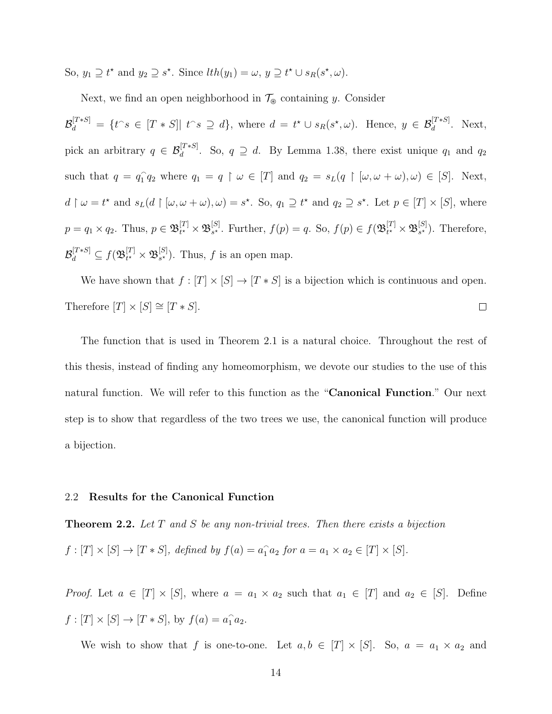So,  $y_1 \supseteq t^*$  and  $y_2 \supseteq s^*$ . Since  $lth(y_1) = \omega$ ,  $y \supseteq t^* \cup s_R(s^*, \omega)$ .

Next, we find an open neighborhood in  $\mathcal{T}_{\circledast}$  containing  $y.$  Consider

 $\mathcal{B}_d^{[T*S]} = \{t^s \in [T*S] | t^s \supseteq d\},\$  where  $d = t^* \cup s_R(s^*,\omega).$  Hence,  $y \in \mathcal{B}_d^{[T*S]}$ . Next, pick an arbitrary  $q \in \mathcal{B}_d^{[T*S]}$ . So,  $q \supseteq d$ . By Lemma 1.38, there exist unique  $q_1$  and  $q_2$ such that  $q = q_1^{\frown}$  $\hat{1} q_2$  where  $q_1 = q \upharpoonright \omega \in [T]$  and  $q_2 = s_L(q \upharpoonright [\omega, \omega + \omega), \omega) \in [S]$ . Next,  $d \restriction \omega = t^*$  and  $s_L(d \restriction [\omega, \omega + \omega), \omega) = s^*$ . So,  $q_1 \supseteq t^*$  and  $q_2 \supseteq s^*$ . Let  $p \in [T] \times [S]$ , where  $p = q_1 \times q_2$ . Thus,  $p \in \mathfrak{B}_{t^*}^{[T]}$  $_{t^{\star}}^{[T]}\times\mathfrak{B}_{s^{\star}}^{[S]}$ <sup>[S]</sup>. Further,  $f(p) = q$ . So,  $f(p) \in f(\mathfrak{B}_{t^*}^{[T]})$  $_{t^{\star}}^{[T]}\times\mathfrak{B}_{s^{\star}}^{[S]}$  $s^{\star}$ ). Therefore,  $\mathcal{B}_d^{[T*S]}\subseteq f(\mathfrak{B}_{t^\star}^{[T]}$  $_{t^{\star}}^{[T]}\times\mathfrak{B}_{s^{\star}}^{[S]}$  $s<sup>s</sup>$ ). Thus, f is an open map.

We have shown that  $f : [T] \times [S] \rightarrow [T * S]$  is a bijection which is continuous and open. Therefore  $[T] \times [S] \cong [T * S]$ .  $\Box$ 

The function that is used in Theorem 2.1 is a natural choice. Throughout the rest of this thesis, instead of finding any homeomorphism, we devote our studies to the use of this natural function. We will refer to this function as the "Canonical Function." Our next step is to show that regardless of the two trees we use, the canonical function will produce a bijection.

#### 2.2 Results for the Canonical Function

**Theorem 2.2.** Let  $T$  and  $S$  be any non-trivial trees. Then there exists a bijection  $f:[T] \times [S] \to [T*S],$  defined by  $f(a) = a_1 \ a_2$  for  $a = a_1 \times a_2 \in [T] \times [S].$ 

*Proof.* Let  $a \in [T] \times [S]$ , where  $a = a_1 \times a_2$  such that  $a_1 \in [T]$  and  $a_2 \in [S]$ . Define  $f: [T] \times [S] \to [T * S],$  by  $f(a) = a_1 a_2$ .

We wish to show that f is one-to-one. Let  $a, b \in [T] \times [S]$ . So,  $a = a_1 \times a_2$  and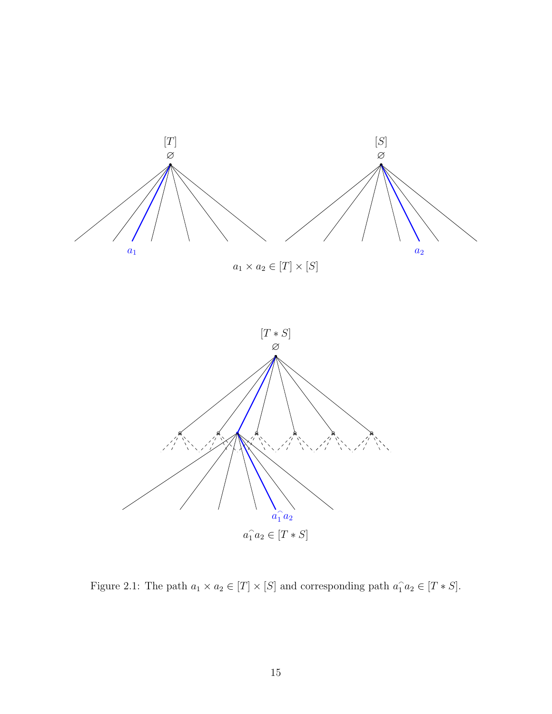

Figure 2.1: The path  $a_1 \times a_2 \in [T] \times [S]$  and corresponding path  $a_1 \cdot a_2 \in [T \ast S]$ .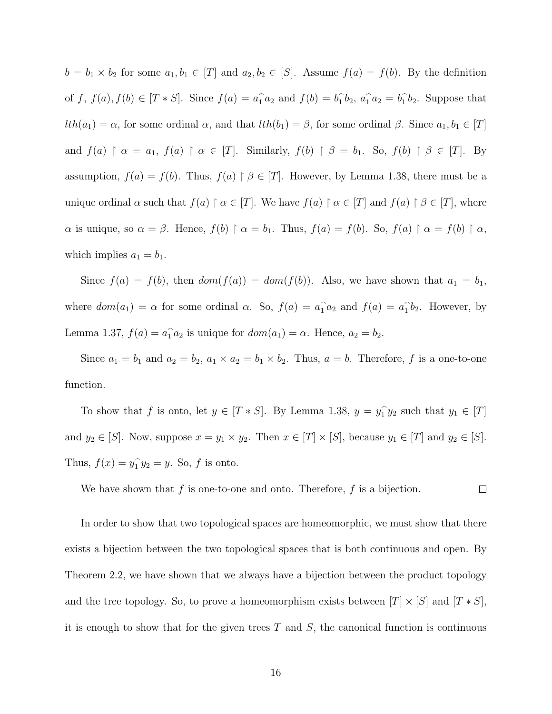$b = b_1 \times b_2$  for some  $a_1, b_1 \in [T]$  and  $a_2, b_2 \in [S]$ . Assume  $f(a) = f(b)$ . By the definition of f,  $f(a)$ ,  $f(b) \in [T * S]$ . Since  $f(a) = a_1 a_2$  and  $f(b) = b_1$  $\hat{a}_1 \hat{b}_2$ ,  $\hat{a}_1 \hat{a}_2 = \hat{b}_1$  $\hat{1}b_2$ . Suppose that  $lth(a_1) = \alpha$ , for some ordinal  $\alpha$ , and that  $lth(b_1) = \beta$ , for some ordinal  $\beta$ . Since  $a_1, b_1 \in [T]$ and  $f(a) \restriction \alpha = a_1, f(a) \restriction \alpha \in [T]$ . Similarly,  $f(b) \restriction \beta = b_1$ . So,  $f(b) \restriction \beta \in [T]$ . By assumption,  $f(a) = f(b)$ . Thus,  $f(a) \upharpoonright \beta \in [T]$ . However, by Lemma 1.38, there must be a unique ordinal  $\alpha$  such that  $f(a) \restriction \alpha \in [T]$ . We have  $f(a) \restriction \alpha \in [T]$  and  $f(a) \restriction \beta \in [T]$ , where  $\alpha$  is unique, so  $\alpha = \beta$ . Hence,  $f(b) \restriction \alpha = b_1$ . Thus,  $f(a) = f(b)$ . So,  $f(a) \restriction \alpha = f(b) \restriction \alpha$ , which implies  $a_1 = b_1$ .

Since  $f(a) = f(b)$ , then  $dom(f(a)) = dom(f(b))$ . Also, we have shown that  $a_1 = b_1$ , where  $dom(a_1) = \alpha$  for some ordinal  $\alpha$ . So,  $f(a) = a_1^a a_2$  and  $f(a) = a_1^b$  $\hat{1}b_2$ . However, by Lemma 1.37,  $f(a) = a_1 a_2$  is unique for  $dom(a_1) = \alpha$ . Hence,  $a_2 = b_2$ .

Since  $a_1 = b_1$  and  $a_2 = b_2$ ,  $a_1 \times a_2 = b_1 \times b_2$ . Thus,  $a = b$ . Therefore, f is a one-to-one function.

To show that f is onto, let  $y \in [T * S]$ . By Lemma 1.38,  $y = y_1$  $\hat{y}_1 \cdot y_2$  such that  $y_1 \in [T]$ and  $y_2 \in [S]$ . Now, suppose  $x = y_1 \times y_2$ . Then  $x \in [T] \times [S]$ , because  $y_1 \in [T]$  and  $y_2 \in [S]$ . Thus,  $f(x) = y_1^2$  $\hat{1}y_2 = y$ . So, f is onto.

We have shown that f is one-to-one and onto. Therefore, f is a bijection.  $\Box$ 

In order to show that two topological spaces are homeomorphic, we must show that there exists a bijection between the two topological spaces that is both continuous and open. By Theorem 2.2, we have shown that we always have a bijection between the product topology and the tree topology. So, to prove a homeomorphism exists between  $[T] \times [S]$  and  $[T * S]$ , it is enough to show that for the given trees  $T$  and  $S$ , the canonical function is continuous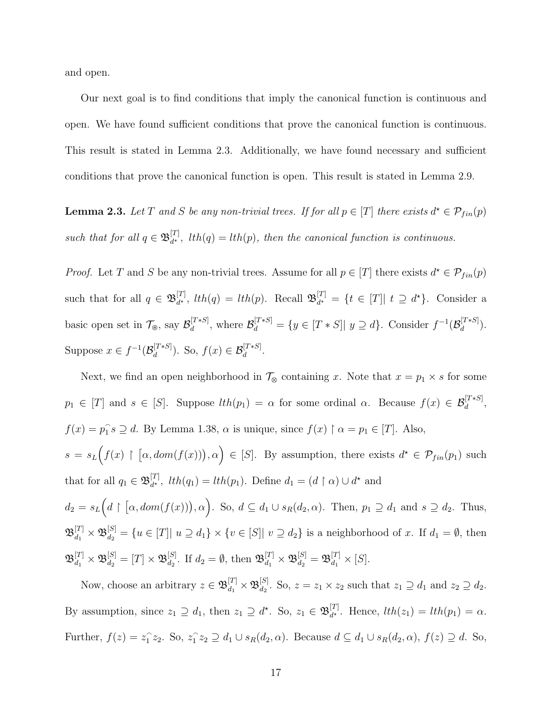and open.

Our next goal is to find conditions that imply the canonical function is continuous and open. We have found sufficient conditions that prove the canonical function is continuous. This result is stated in Lemma 2.3. Additionally, we have found necessary and sufficient conditions that prove the canonical function is open. This result is stated in Lemma 2.9.

**Lemma 2.3.** Let T and S be any non-trivial trees. If for all  $p \in [T]$  there exists  $d^* \in \mathcal{P}_{fin}(p)$ such that for all  $q \in \mathfrak{B}_{d^{\star}}^{[T]}$  $d_{d^*}^{[1]}$ ,  $lth(q) = lth(p)$ , then the canonical function is continuous.

*Proof.* Let T and S be any non-trivial trees. Assume for all  $p \in [T]$  there exists  $d^* \in \mathcal{P}_{fin}(p)$ such that for all  $q \in \mathfrak{B}_{d^{\star}}^{[T]}$  $\left[\begin{smallmatrix} [T] \ d^* \end{smallmatrix}\right]$ ,  $lth(q) = lth(p)$ . Recall  $\mathfrak{B}_{d^*}^{[T]}$  $d_t^{[T]} = \{t \in [T] | t \supseteq d^{\star}\}.$  Consider a basic open set in  $\mathcal{T}_{\circledast}$ , say  $\mathcal{B}_d^{[T*S]}$  $\mathcal{B}_d^{[T*S]}$ , where  $\mathcal{B}_d^{[T*S]} = \{y \in [T*S] | y \supseteq d\}$ . Consider  $f^{-1}(\mathcal{B}_d^{[T*S]})$  $\frac{d}{d}^{[I * S]}$ ). Suppose  $x \in f^{-1}(\mathcal{B}_d^{[T*S]})$  $\mathcal{B}_d^{[T*S]}$ ). So,  $f(x) \in \mathcal{B}_d^{[T*S]}$ .

Next, we find an open neighborhood in  $\mathcal{T}_{\otimes}$  containing x. Note that  $x = p_1 \times s$  for some  $p_1 \in [T]$  and  $s \in [S]$ . Suppose  $lth(p_1) = \alpha$  for some ordinal  $\alpha$ . Because  $f(x) \in \mathcal{B}_d^{[T*S]}$ ,  $f(x) = p_1^2$  $\hat{i}_1 s \supseteq d$ . By Lemma 1.38,  $\alpha$  is unique, since  $f(x) \upharpoonright \alpha = p_1 \in [T]$ . Also,  $s = s_L(f(x) \restriction [\alpha, dom(f(x))], \alpha) \in [S]$ . By assumption, there exists  $d^* \in \mathcal{P}_{fin}(p_1)$  such that for all  $q_1 \in \mathfrak{B}_{d^{\star}}^{[T]}$  $d_{d^*}^{[T]}$ ,  $lth(q_1) = lth(p_1)$ . Define  $d_1 = (d \restriction \alpha) \cup d^*$  and  $d_2 = s_L(d \restriction [\alpha, dom(f(x))), \alpha)$ . So,  $d \subseteq d_1 \cup s_R(d_2, \alpha)$ . Then,  $p_1 \supseteq d_1$  and  $s \supseteq d_2$ . Thus,  $\mathfrak{B}_{d_1}^{[T]} \times \mathfrak{B}_{d_2}^{[S]} = \{u \in [T] | u \supseteq d_1\} \times \{v \in [S] | v \supseteq d_2\}$  is a neighborhood of x. If  $d_1 = \emptyset$ , then  $\mathfrak{B}_{d_1}^{[T]}\times \mathfrak{B}_{d_2}^{[S]}=[T]\times \mathfrak{B}_{d_2}^{[S]}$  $\mathbb{E}_{d_2}^{[S]}$ . If  $d_2 = \emptyset$ , then  $\mathfrak{B}_{d_1}^{[T]} \times \mathfrak{B}_{d_2}^{[S]} = \mathfrak{B}_{d_1}^{[T]} \times [S]$ .

Now, choose an arbitrary  $z \in \mathfrak{B}_{d_1}^{[T]} \times \mathfrak{B}_{d_2}^{[S]}$  $d_2^{[3]}$ . So,  $z = z_1 \times z_2$  such that  $z_1 \supseteq d_1$  and  $z_2 \supseteq d_2$ . By assumption, since  $z_1 \supseteq d_1$ , then  $z_1 \supseteq d^{\star}$ . So,  $z_1 \in \mathfrak{B}_{d^{\star}}^{[T]}$  $d_t^{[1]}$ . Hence,  $lth(z_1) = lth(p_1) = \alpha$ . Further,  $f(z) = z_1^{\hat{}}$  $\hat{i}_1 z_2$ . So,  $z_1$ <sup>2</sup>  $\{z_1 \geq z_2 \supseteq d_1 \cup s_R(d_2, \alpha)$ . Because  $d \subseteq d_1 \cup s_R(d_2, \alpha)$ ,  $f(z) \supseteq d$ . So,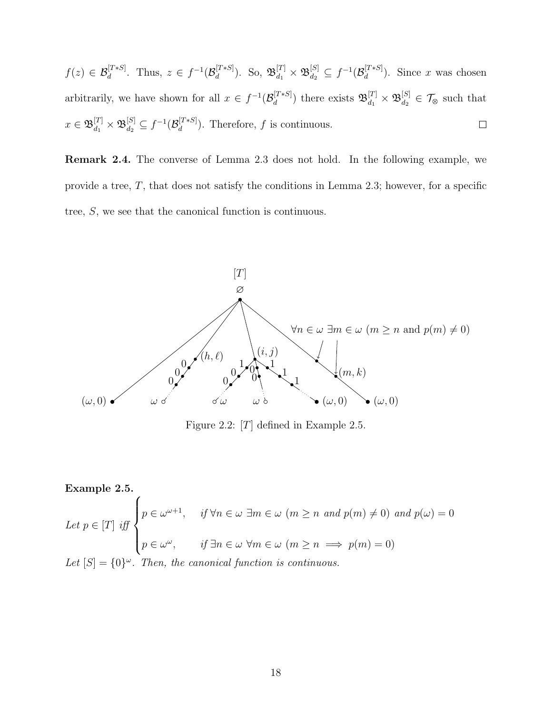$f(z) \in \mathcal{B}_d^{[T*S]}$ . Thus,  $z \in f^{-1}(\mathcal{B}_d^{[T*S]}$  $\mathbb{E}_{d}^{[T*S]}$ ). So,  $\mathfrak{B}_{d_1}^{[T]} \times \mathfrak{B}_{d_2}^{[S]} \subseteq f^{-1}(\mathcal{B}_d^{[T*S]})$  $\binom{[1*5]}{d}$ . Since x was chosen arbitrarily, we have shown for all  $x \in f^{-1}(\mathcal{B}_d^{[T*S]}$  $\mathfrak{B}_{d_1}^{[T*S]})$  there exists  $\mathfrak{B}_{d_1}^{[T]} \times \mathfrak{B}_{d_2}^{[S]}$  $d_2^{[S]} \in \mathcal{T}_{\otimes}$  such that  $x\in \mathfrak{B}^{[T]}_{d_1}\times \mathfrak{B}^{[S]}_{d_2} \subseteq f^{-1}(\mathcal{B}_d^{[T*S]}$  $\binom{[I^{*} \times S]}{d}$ . Therefore, f is continuous.  $\Box$ 

Remark 2.4. The converse of Lemma 2.3 does not hold. In the following example, we provide a tree,  $T$ , that does not satisfy the conditions in Lemma 2.3; however, for a specific tree, S, we see that the canonical function is continuous.



Figure 2.2: [T] defined in Example 2.5.

Example 2.5. Let  $p \in [T]$  iff  $\sqrt{ }$  $\int$  $\overline{\mathcal{L}}$  $p \in \omega^{\omega+1}$ , if  $\forall n \in \omega \exists m \in \omega \ (m \geq n \ and \ p(m) \neq 0) \ and \ p(\omega) = 0$  $p \in \omega^{\omega}$ , if  $\exists n \in \omega \ \forall m \in \omega \ (m \geq n \implies p(m) = 0)$ Let  $[S] = \{0\}^{\omega}$ . Then, the canonical function is continuous.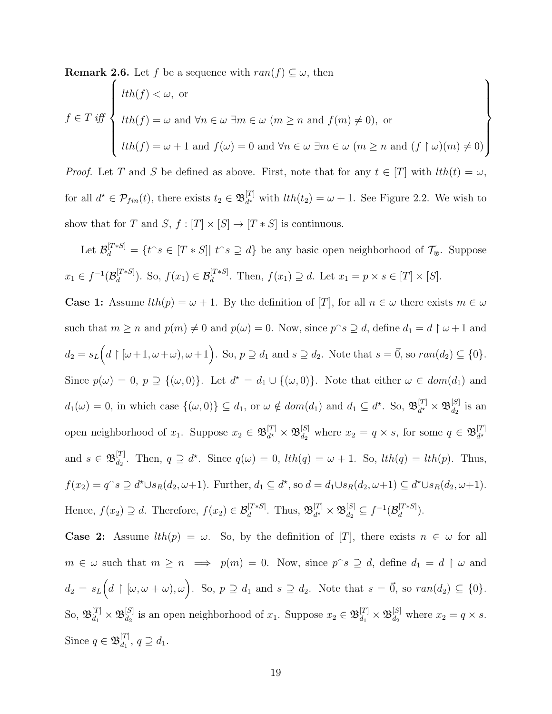**Remark 2.6.** Let f be a sequence with  $ran(f) \subseteq \omega$ , then

$$
f \in T \text{ iff } \left\{ \begin{aligned} & lth(f) < \omega, \text{ or} \\ & lth(f) = \omega \text{ and } \forall n \in \omega \ \exists m \in \omega \ (m \ge n \text{ and } f(m) \neq 0), \text{ or} \\ & lth(f) = \omega + 1 \text{ and } f(\omega) = 0 \text{ and } \forall n \in \omega \ \exists m \in \omega \ (m \ge n \text{ and } (f \upharpoonright \omega)(m) \neq 0) \end{aligned} \right\}
$$

*Proof.* Let T and S be defined as above. First, note that for any  $t \in [T]$  with  $lth(t) = \omega$ , for all  $d^* \in \mathcal{P}_{fin}(t)$ , there exists  $t_2 \in \mathfrak{B}_{d^*}^{[T]}$  $d_t^{[1]}$  with  $lth(t_2) = \omega + 1$ . See Figure 2.2. We wish to show that for  $T$  and  $S,$   $f:[T]\times [S]\rightarrow [T\ast S]$  is continuous.

Let  $\mathcal{B}_d^{[T*S]} = \{t \in [T*S] | t \in S \supseteq d\}$  be any basic open neighborhood of  $\mathcal{T}_{\mathcal{B}}$ . Suppose  $x_1 \in f^{-1}(\mathcal{B}_d^{[T*S]}$  $d_d^{[T*S]}$ ). So,  $f(x_1) \in \mathcal{B}_d^{[T*S]}$ . Then,  $f(x_1) \supseteq d$ . Let  $x_1 = p \times s \in [T] \times [S]$ .

**Case 1:** Assume  $lth(p) = \omega + 1$ . By the definition of [T], for all  $n \in \omega$  there exists  $m \in \omega$ such that  $m \ge n$  and  $p(m) \ne 0$  and  $p(\omega) = 0$ . Now, since  $p^s \supseteq d$ , define  $d_1 = d \restriction \omega + 1$  and  $d_2 = s_L(d \upharpoonright [\omega+1, \omega+\omega), \omega+1]$ . So,  $p \supseteq d_1$  and  $s \supseteq d_2$ . Note that  $s = \vec{0}$ , so  $ran(d_2) \subseteq \{0\}$ . Since  $p(\omega) = 0$ ,  $p \supseteq \{(\omega, 0)\}\$ . Let  $d^* = d_1 \cup \{(\omega, 0)\}\$ . Note that either  $\omega \in dom(d_1)$  and  $d_1(\omega) = 0$ , in which case  $\{(\omega, 0)\}\subseteq d_1$ , or  $\omega \notin dom(d_1)$  and  $d_1 \subseteq d^{\star}$ . So,  $\mathfrak{B}_{d^{\star}}^{[T]}$  $\frac{[T]}{d^{\star}}\times\mathfrak{B}^{[S]}_{d_2}$  $\frac{d^{[S]}}{d_2}$  is an open neighborhood of  $x_1$ . Suppose  $x_2 \in \mathfrak{B}_{d^*}^{[T]}$  $\frac{[T]}{d^{\star}}\times\mathfrak{B}^{[S]}_{d_2}$  $d_2^{[S]}$  where  $x_2 = q \times s$ , for some  $q \in \mathfrak{B}_{d^*}^{[T]}$  $d^{\star}$ and  $s \in \mathfrak{B}_{d_2}^{[T]}$ <sup>[1]</sup><sub>d<sub>2</sub></sub>. Then,  $q \supseteq d^*$ . Since  $q(\omega) = 0$ ,  $lth(q) = \omega + 1$ . So,  $lth(q) = lth(p)$ . Thus,  $f(x_2) = q^s \supseteq d^{\star} \cup s_R(d_2, \omega+1)$ . Further,  $d_1 \subseteq d^{\star}$ , so  $d = d_1 \cup s_R(d_2, \omega+1) \subseteq d^{\star} \cup s_R(d_2, \omega+1)$ . Hence,  $f(x_2) \supseteq d$ . Therefore,  $f(x_2) \in \mathcal{B}_d^{[T*s]}$ . Thus,  $\mathfrak{B}_{d^*}^{[T]}$  $\mathbb{E}_{d^{\star}}^{[T]}\times\mathfrak{B}_{d_2}^{[S]}\subseteq f^{-1}(\mathcal{B}_d^{[T\ast S]})$  $\binom{[I * S]}{d}$ .

**Case 2:** Assume  $lth(p) = \omega$ . So, by the definition of [T], there exists  $n \in \omega$  for all  $m \in \omega$  such that  $m \geq n \implies p(m) = 0$ . Now, since  $p \hat{\ } s \supseteq d$ , define  $d_1 = d \upharpoonright \omega$  and  $d_2 = s_L(d \restriction [\omega, \omega + \omega), \omega)$ . So,  $p \supseteq d_1$  and  $s \supseteq d_2$ . Note that  $s = \vec{0}$ , so  $ran(d_2) \subseteq \{0\}$ .  $\text{So, } \mathfrak{B}_{d_1}^{[T]} \times \mathfrak{B}_{d_2}^{[S]}$  $d_2^{[S]}$  is an open neighborhood of  $x_1$ . Suppose  $x_2 \in \mathfrak{B}_{d_1}^{[T]} \times \mathfrak{B}_{d_2}^{[S]}$  $d_2^{[S]}$  where  $x_2 = q \times s$ . Since  $q \in \mathfrak{B}_{d_1}^{[T]}$  $d_1^{[1]}, q \supseteq d_1.$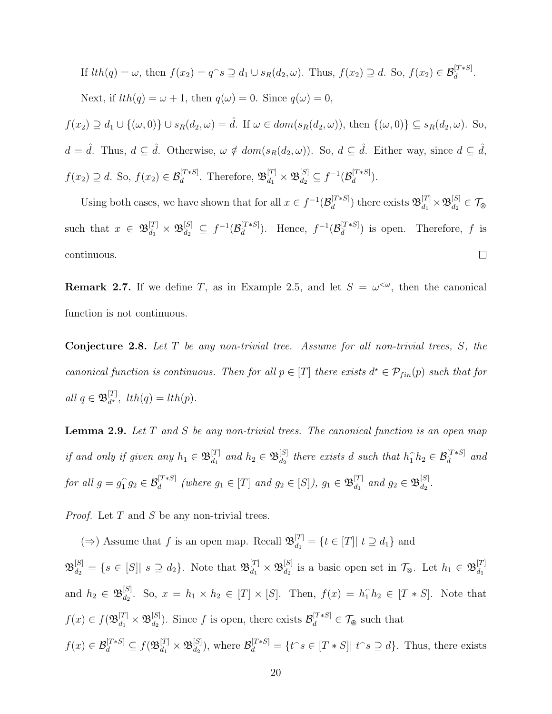If 
$$
lth(q) = \omega
$$
, then  $f(x_2) = q^\frown s \supseteq d_1 \cup s_R(d_2, \omega)$ . Thus,  $f(x_2) \supseteq d$ . So,  $f(x_2) \in \mathcal{B}_d^{[T*S]}$ .  
Next, if  $lth(q) = \omega + 1$ , then  $q(\omega) = 0$ . Since  $q(\omega) = 0$ ,

 $f(x_2) \supseteq d_1 \cup \{(\omega,0)\} \cup s_R(d_2,\omega) = \hat{d}$ . If  $\omega \in dom(s_R(d_2,\omega))$ , then  $\{(\omega,0)\} \subseteq s_R(d_2,\omega)$ . So,  $d = \hat{d}$ . Thus,  $d \subseteq \hat{d}$ . Otherwise,  $\omega \notin dom(s_R(d_2, \omega))$ . So,  $d \subseteq \hat{d}$ . Either way, since  $d \subseteq \hat{d}$ ,  $f(x_2) \supseteq d$ . So,  $f(x_2) \in \mathcal{B}_d^{[T*S]}$ . Therefore,  $\mathfrak{B}_{d_1}^{[T]} \times \mathfrak{B}_{d_2}^{[S]} \subseteq f^{-1}(\mathcal{B}_d^{[T*S]}$  $\frac{d}{d}^{[I * S]}$ ).

Using both cases, we have shown that for all  $x \in f^{-1}(\mathcal{B}_d^{[T*S]}$  $\mathbb{E}_{d}^{[T*S]})$  there exists  $\mathfrak{B}_{d_1}^{[T]}\times \mathfrak{B}_{d_2}^{[S]}$  $\mathcal{J}_{d_2}^{[S]} \in \mathcal{T}_{\otimes}$ such that  $x \in \mathfrak{B}_{d_1}^{[T]} \times \mathfrak{B}_{d_2}^{[S]} \subseteq f^{-1}(\mathcal{B}_d^{[T*S]}$  $\mathcal{B}_d^{[T*S]}$ ). Hence,  $f^{-1}(\mathcal{B}_d^{[T*S]}$  $\binom{[1*5]}{d}$  is open. Therefore, f is continuous.  $\Box$ 

**Remark 2.7.** If we define T, as in Example 2.5, and let  $S = \omega^{\leq \omega}$ , then the canonical function is not continuous.

**Conjecture 2.8.** Let  $T$  be any non-trivial tree. Assume for all non-trivial trees,  $S$ , the canonical function is continuous. Then for all  $p \in [T]$  there exists  $d^* \in \mathcal{P}_{fin}(p)$  such that for all  $q \in \mathfrak{B}_{d^{\star}}^{[T]}$  $\frac{d^{[1]}}{d^{*}}, \; lth(q) = lth(p).$ 

**Lemma 2.9.** Let  $T$  and  $S$  be any non-trivial trees. The canonical function is an open map if and only if given any  $h_1 \in \mathfrak{B}_{d_1}^{[T]}$  $d_1^{[T]}$  and  $h_2 \in \mathfrak{B}_{d_2}^{[S]}$  $a_2^{[S]}$  there exists d such that  $h_1 \hat{h}_2 \in \mathcal{B}_d^{[T*S]}$  and for all  $g = g_1^{\frown}$  $\widehat{f}_1 g_2 \in \mathcal{B}_d^{[T*S]}$  (where  $g_1 \in [T]$  and  $g_2 \in [S]$ ),  $g_1 \in \mathfrak{B}_{d_1}^{[T]}$  $\begin{bmatrix} [T] & and & g_2 \in \mathfrak{B}_{d_2}^{[S]} \end{bmatrix}$  $\frac{|\mathcal{S}|}{d_2}$  .

*Proof.* Let  $T$  and  $S$  be any non-trivial trees.

(⇒) Assume that f is an open map. Recall  $\mathfrak{B}_{d_1}^{[T]} = \{t \in [T] | t \supseteq d_1\}$  and  $\mathfrak{B}_{d_2}^{[S]} = \{s \in [S] | s \supseteq d_2\}.$  Note that  $\mathfrak{B}_{d_1}^{[T]} \times \mathfrak{B}_{d_2}^{[S]}$  $\mathcal{B}_{d_2}^{[S]}$  is a basic open set in  $\mathcal{T}_{\otimes}$ . Let  $h_1 \in \mathfrak{B}_{d_1}^{[T]}$  $d_1$ and  $h_2 \in \mathfrak{B}^{[S]}_{d_2}$  $d_2^{[S]}$ . So,  $x = h_1 \times h_2 \in [T] \times [S]$ . Then,  $f(x) = h_1 \hat{h}_2 \in [T * S]$ . Note that  $f(x) \in f(\mathfrak{B}_{d_1}^{[T]}\times \mathfrak{B}_{d_2}^{[S]}$  $\mathcal{B}_d^{[S]}$ ). Since f is open, there exists  $\mathcal{B}_d^{[T*S]} \in \mathcal{T}_{\circledast}$  such that  $f(x) \in \mathcal{B}_d^{[T*S]} \subseteq f(\mathfrak{B}_{d_1}^{[T]} \times \mathfrak{B}_{d_2}^{[S]}$  $\mathcal{B}_d^{[S]}$ ), where  $\mathcal{B}_d^{[T*S]} = \{t \hat{\ } s \in [T*S] | t \hat{\ } s \supseteq d\}$ . Thus, there exists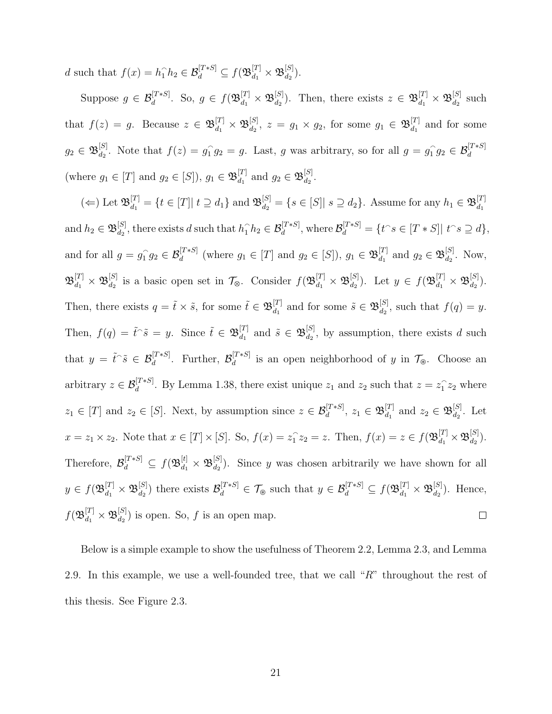d such that  $f(x) = h_1 \hat{h}_2 \in \mathcal{B}_d^{[T*S]} \subseteq f(\mathfrak{B}_{d_1}^{[T]} \times \mathfrak{B}_{d_2}^{[S]}$  $\begin{matrix} [S] \ d_2 \end{matrix}$ ).

Suppose  $g \in \mathcal{B}_d^{[T*S]}$ . So,  $g \in f(\mathfrak{B}_{d_1}^{[T]} \times \mathfrak{B}_{d_2}^{[S]}$  $\mathbb{E}_{d_2}^{[S]}$ ). Then, there exists  $z \in \mathfrak{B}_{d_1}^{[T]} \times \mathfrak{B}_{d_2}^{[S]}$  $\frac{d_1}{d_2}$  such that  $f(z) = g$ . Because  $z \in \mathfrak{B}_{d_1}^{[T]} \times \mathfrak{B}_{d_2}^{[S]}$  $\genfrac{[}{]}{0pt}{}{[S]}{d_2}, \ z \ = \ g_1 \times g_2, \ \text{for some} \ \ g_1 \ \in \ \mathfrak{B}_{d_1}^{[T]}$  $\begin{bmatrix} 1 \\ d_1 \end{bmatrix}$  and for some  $g_2\in \mathfrak{B}^{[S]}_{d_2}$ <sup>[S]</sup><sub>d<sub>2</sub></sub>. Note that  $f(z) = g_1^{\frown}$  $\hat{1} g_2 = g$ . Last, g was arbitrary, so for all  $g = g_1^2$  ${}^{\curvearrowright}_1 g_2 \in \mathcal{B}_d^{[T*S]}$ (where  $g_1 \in [T]$  and  $g_2 \in [S]$ ),  $g_1 \in \mathfrak{B}_{d_1}^{[T]}$  $\begin{bmatrix} [T] \\ d_1 \end{bmatrix}$  and  $g_2 \in \mathfrak{B}_{d_2}^{[S]}$  $\frac{1}{d_2}$ .

 $(\Leftarrow)$  Let  $\mathfrak{B}_{d_1}^{[T]} = \{t \in [T] | t \supseteq d_1\}$  and  $\mathfrak{B}_{d_2}^{[S]} = \{s \in [S] | s \supseteq d_2\}$ . Assume for any  $h_1 \in \mathfrak{B}_{d_1}^{[T]}$  $d_1$  $d_2^{[S]}$ , there exists d such that  $h_1 \hat{h}_2 \in \mathcal{B}_d^{[T*S]}$ , where  $\mathcal{B}_d^{[T*S]} = \{t \hat{ } \ s \in [T*S] | t \hat{ } \ s \supseteq d\},$ and  $h_2 \in \mathfrak{B}^{[S]}_{d_2}$ and for all  $g = g_1^{\frown}$  ${}_{1}^{G}g_{2} \in \mathcal{B}_d^{[T*S]}$  (where  $g_1 \in [T]$  and  $g_2 \in [S]$ ),  $g_1 \in \mathfrak{B}_{d_1}^{[T]}$  $\begin{bmatrix} [T] \\ d_1 \end{bmatrix}$  and  $g_2 \in \mathfrak{B}_{d_2}^{[S]}$  $\begin{bmatrix} |S| \ d_2 \end{bmatrix}$ . Now,  $\mathfrak{B}_{d_1}^{[T]}\times \mathfrak{B}_{d_2}^{[S]}$  $d_2^{[S]}$  is a basic open set in  $\mathcal{T}_{\otimes}$ . Consider  $f(\mathfrak{B}_{d_1}^{[T]} \times \mathfrak{B}_{d_2}^{[S]})$  $d_1^{[S]}$ ). Let  $y \in f(\mathfrak{B}_{d_1}^{[T]} \times \mathfrak{B}_{d_2}^{[S]}$  $\begin{matrix} \vert^{5} \vert \ \frac{d_2}{\vert} \end{matrix}$ ). Then, there exists  $q = \tilde{t} \times \tilde{s}$ , for some  $\tilde{t} \in \mathfrak{B}_{d_1}^{[T]}$  $\begin{bmatrix} [T] \ d_1 \end{bmatrix}$  and for some  $\tilde{s} \in \mathfrak{B}_{d_2}^{[S]}$  $d_2^{[S]}$ , such that  $f(q) = y$ . Then,  $f(q) = \tilde{t} \tilde{\delta} = y$ . Since  $\tilde{t} \in \mathfrak{B}_{d_1}^{[T]}$  $\begin{bmatrix} [T] & \text{and} \ \tilde{s} \in \mathfrak{B}_{d_2}^{[S]} \end{bmatrix}$  $d_2^{[S]}$ , by assumption, there exists d such that  $y = \tilde{t} \tilde{\delta} \in \mathcal{B}_d^{[T*S]}$ . Further,  $\mathcal{B}_d^{[T*S]}$  $\mathcal{U}^{[l^{*}\infty]}$  is an open neighborhood of y in  $\mathcal{T}_{\circledast}$ . Choose an arbitrary  $z \in \mathcal{B}_d^{[T*S]}$ . By Lemma 1.38, there exist unique  $z_1$  and  $z_2$  such that  $z = z_1^{\frown}$  $\int_1^2 z_2$  where  $z_1 \in [T]$  and  $z_2 \in [S]$ . Next, by assumption since  $z \in \mathcal{B}_d^{[T*S]}, z_1 \in \mathfrak{B}_{d_1}^{[T]}$  $d_1^{[T]}$  and  $z_2 \in \mathfrak{B}_{d_2}^{[S]}$  $\frac{d_1}{d_2}$ . Let  $x = z_1 \times z_2$ . Note that  $x \in [T] \times [S]$ . So,  $f(x) = z_1^{\hat{}}$  $\hat{I}_1 z_2 = z$ . Then,  $f(x) = z \in f(\mathfrak{B}_{d_1}^{[T]} \times \mathfrak{B}_{d_2}^{[S]} )$  $\binom{S}{d_2}$ . Therefore,  $\mathcal{B}_d^{[T*S]} \subseteq f(\mathfrak{B}_{d_1}^{[t]} \times \mathfrak{B}_{d_2}^{[S]}$  $\begin{bmatrix} \n\mathbf{a}_1 \\ \n\mathbf{b}_2 \n\end{bmatrix}$ . Since y was chosen arbitrarily we have shown for all  $y\in f(\mathfrak{B}_{d_1}^{[T]}\times \mathfrak{B}_{d_2}^{[S]}$  $\mathcal{B}_{d_2}^{[S]}$ ) there exists  $\mathcal{B}_d^{[T*S]} \in \mathcal{T}_{\otimes}$  such that  $y \in \mathcal{B}_d^{[T*S]} \subseteq f(\mathfrak{B}_{d_1}^{[T]} \times \mathfrak{B}_{d_2}^{[S]})$  $\begin{bmatrix} |S| \\ d_2 \end{bmatrix}$ . Hence,  $f(\mathfrak B^{[T]}_{d_1}\times\mathfrak B^{[S]}_{d_2}$  $\Box$  $\begin{bmatrix} [S] \ d_2 \end{bmatrix}$  is open. So, f is an open map.

Below is a simple example to show the usefulness of Theorem 2.2, Lemma 2.3, and Lemma 2.9. In this example, we use a well-founded tree, that we call " $R$ " throughout the rest of this thesis. See Figure 2.3.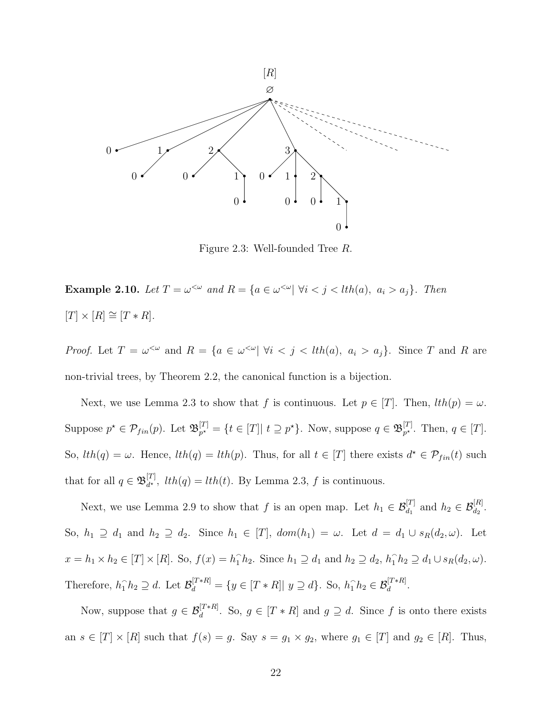

Figure 2.3: Well-founded Tree R.

**Example 2.10.** Let  $T = \omega^{\leq \omega}$  and  $R = \{a \in \omega^{\leq \omega} | \forall i < j < lth(a), a_i > a_j\}$ . Then  $[T] \times [R] \cong [T * R].$ 

*Proof.* Let  $T = \omega^{\leq \omega}$  and  $R = \{a \in \omega^{\leq \omega} | \forall i \leq j \leq lth(a), a_i > a_j\}$ . Since T and R are non-trivial trees, by Theorem 2.2, the canonical function is a bijection.

Next, we use Lemma 2.3 to show that f is continuous. Let  $p \in [T]$ . Then,  $lth(p) = \omega$ . Suppose  $p^* \in \mathcal{P}_{fin}(p)$ . Let  $\mathfrak{B}_{p^*}^{[T]}$  $p_r^{[T]} = \{t \in [T] | t \supseteq p^{\star}\}.$  Now, suppose  $q \in \mathfrak{B}_{p^{\star}}^{[T]}$  $_{p^{\star}}^{[1]}$ . Then,  $q \in [T]$ . So,  $lth(q) = \omega$ . Hence,  $lth(q) = lth(p)$ . Thus, for all  $t \in [T]$  there exists  $d^* \in \mathcal{P}_{fin}(t)$  such that for all  $q \in \mathfrak{B}_{d^{\star}}^{[T]}$  $d_{d^*}^{[1]}$ ,  $lth(q) = lth(t)$ . By Lemma 2.3, f is continuous.

Next, we use Lemma 2.9 to show that f is an open map. Let  $h_1 \in \mathcal{B}_{d_1}^{[T]}$  and  $h_2 \in \mathcal{B}_{d_2}^{[R]}$ . So,  $h_1 \supseteq d_1$  and  $h_2 \supseteq d_2$ . Since  $h_1 \in [T]$ ,  $dom(h_1) = \omega$ . Let  $d = d_1 \cup s_R(d_2, \omega)$ . Let  $x = h_1 \times h_2 \in [T] \times [R]$ . So,  $f(x) = h_1 \hat{h}_2$ . Since  $h_1 \supseteq d_1$  and  $h_2 \supseteq d_2$ ,  $h_1 \hat{h}_2 \supseteq d_1 \cup s_R(d_2, \omega)$ . Therefore,  $h_1 \hat{h}_2 \supseteq d$ . Let  $\mathcal{B}_d^{[T * R]} = \{y \in [T * R] | y \supseteq d\}$ . So,  $h_1 \hat{h}_2 \in \mathcal{B}_d^{[T * R]}$ .

Now, suppose that  $g \in \mathcal{B}_d^{[T * R]}$ . So,  $g \in [T * R]$  and  $g \supseteq d$ . Since f is onto there exists an  $s \in [T] \times [R]$  such that  $f(s) = g$ . Say  $s = g_1 \times g_2$ , where  $g_1 \in [T]$  and  $g_2 \in [R]$ . Thus,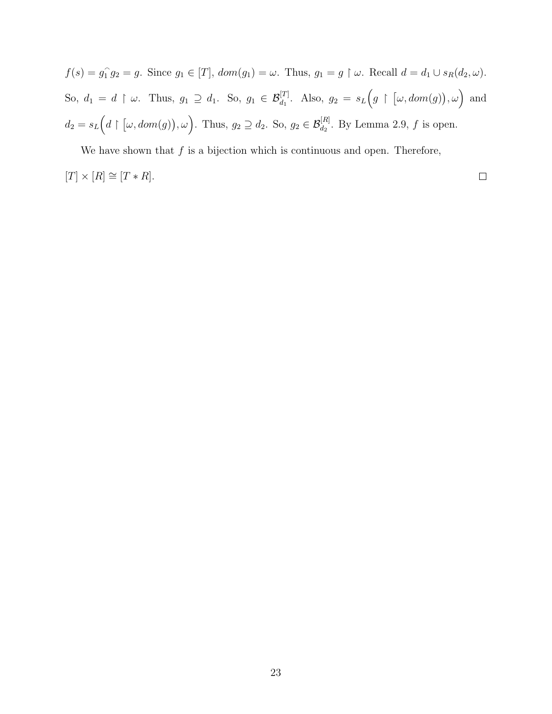$f(s) = g_1^{\frown}$  $\hat{q}_1 g_2 = g$ . Since  $g_1 \in [T]$ ,  $dom(g_1) = \omega$ . Thus,  $g_1 = g \upharpoonright \omega$ . Recall  $d = d_1 \cup s_R(d_2, \omega)$ . So,  $d_1 = d \upharpoonright \omega$ . Thus,  $g_1 \supseteq d_1$ . So,  $g_1 \in \mathcal{B}_{d_1}^{[T]}$ . Also,  $g_2 = s_L(g \upharpoonright [\omega, dom(g)), \omega)$  and  $d_2 = s_L(d \upharpoonright [\omega, dom(g)), \omega)$ . Thus,  $g_2 \supseteq d_2$ . So,  $g_2 \in \mathcal{B}_{d_2}^{[R]}$ . By Lemma 2.9, f is open.

We have shown that  $f$  is a bijection which is continuous and open. Therefore,

$$
[T] \times [R] \cong [T * R].
$$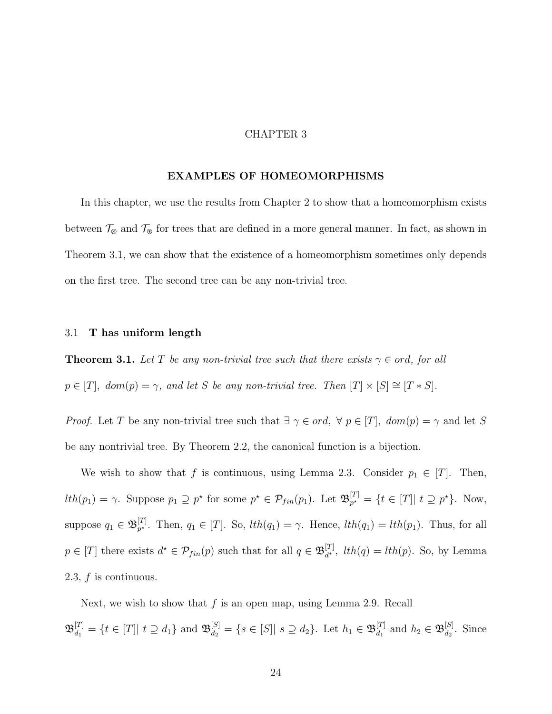#### CHAPTER 3

#### EXAMPLES OF HOMEOMORPHISMS

In this chapter, we use the results from Chapter 2 to show that a homeomorphism exists between  $\mathcal{T}_{\otimes}$  and  $\mathcal{T}_{\otimes}$  for trees that are defined in a more general manner. In fact, as shown in Theorem 3.1, we can show that the existence of a homeomorphism sometimes only depends on the first tree. The second tree can be any non-trivial tree.

#### 3.1 T has uniform length

**Theorem 3.1.** Let T be any non-trivial tree such that there exists  $\gamma \in \text{ord}$ , for all  $p \in [T]$ ,  $dom(p) = \gamma$ , and let S be any non-trivial tree. Then  $[T] \times [S] \cong [T * S]$ .

*Proof.* Let T be any non-trivial tree such that  $\exists \gamma \in ord, \forall p \in [T]$ ,  $dom(p) = \gamma$  and let S be any nontrivial tree. By Theorem 2.2, the canonical function is a bijection.

We wish to show that f is continuous, using Lemma 2.3. Consider  $p_1 \in [T]$ . Then,  $lth(p_1) = \gamma$ . Suppose  $p_1 \supseteq p^*$  for some  $p^* \in \mathcal{P}_{fin}(p_1)$ . Let  $\mathfrak{B}_{p^*}^{[T]}$  $p^{\mathcal{I}'}_{p^{\star}} = \{ t \in [T] | t \supseteq p^{\star} \}.$  Now, suppose  $q_1 \in \mathfrak{B}_{p^\star}^{[T]}$ <sup>[1]</sup><sub>p</sub><sup>\*</sup>. Then,  $q_1 \in [T]$ . So,  $lth(q_1) = \gamma$ . Hence,  $lth(q_1) = lth(p_1)$ . Thus, for all  $p \in [T]$  there exists  $d^* \in \mathcal{P}_{fin}(p)$  such that for all  $q \in \mathfrak{B}_{d^*}^{[T]}$  $\begin{bmatrix} u^{[1]} \\ d^* \end{bmatrix}$ ,  $lth(q) = lth(p)$ . So, by Lemma 2.3, f is continuous.

Next, we wish to show that  $f$  is an open map, using Lemma 2.9. Recall  $\mathfrak{B}_{d_1}^{[T]} = \{t \in [T] | t \supseteq d_1\}$  and  $\mathfrak{B}_{d_2}^{[S]} = \{s \in [S] | s \supseteq d_2\}$ . Let  $h_1 \in \mathfrak{B}_{d_1}^{[T]}$  $d_1^{[T]}$  and  $h_2 \in \mathfrak{B}_{d_2}^{[S]}$  $\frac{d_1}{d_2}$ . Since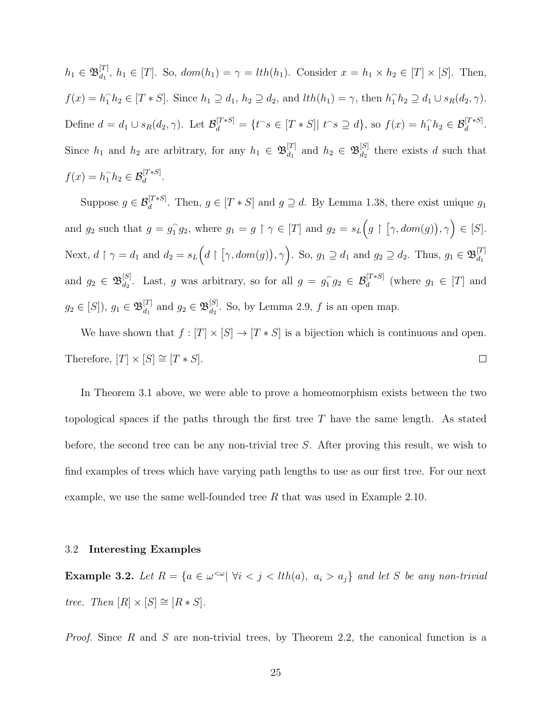$h_1 \in \mathfrak{B}_{d_1}^{[T]}$  $d_1^{[1]}, h_1 \in [T]$ . So,  $dom(h_1) = \gamma = lth(h_1)$ . Consider  $x = h_1 \times h_2 \in [T] \times [S]$ . Then,  $f(x) = h_1 \hat{h}_2 \in [T * S]$ . Since  $h_1 \supseteq d_1$ ,  $h_2 \supseteq d_2$ , and  $lth(h_1) = \gamma$ , then  $h_1 \hat{h}_2 \supseteq d_1 \cup s_R(d_2, \gamma)$ . Define  $d = d_1 \cup s_R(d_2, \gamma)$ . Let  $\mathcal{B}_d^{[T*S]} = \{t \circ \in [T*S] | t \circ s \supseteq d\}$ , so  $f(x) = h_1 \circ h_2 \in \mathcal{B}_d^{[T*S]}$ . Since  $h_1$  and  $h_2$  are arbitrary, for any  $h_1 \in \mathfrak{B}_{d_1}^{[T]}$  $\begin{align} \begin{bmatrix} T \\ d_1 \end{bmatrix} \text{ and } h_2 \in \mathfrak{B}_{d_2}^{[S]} \end{align}$  $\frac{d_1}{d_2}$  there exists d such that  $f(x) = h_1 \hat{h}_2 \in \mathcal{B}_d^{[T*S]}$ .

Suppose  $g \in \mathcal{B}_d^{[T*S]}$ . Then,  $g \in [T*S]$  and  $g \supseteq d$ . By Lemma 1.38, there exist unique  $g_1$ and  $g_2$  such that  $g = g_1^{\frown}$  $\widehat{f}_1 g_2$ , where  $g_1 = g \restriction \gamma \in [T]$  and  $g_2 = s_L(g \restriction [\gamma, dom(g)), \gamma) \in [S].$ Next,  $d \restriction \gamma = d_1$  and  $d_2 = s_L(d \restriction [\gamma, dom(g)), \gamma)$ . So,  $g_1 \supseteq d_1$  and  $g_2 \supseteq d_2$ . Thus,  $g_1 \in \mathfrak{B}_{d_1}^{[T]}$  $d_1$ and  $g_2 \in \mathfrak{B}^{[S]}_{d_2}$ <sup>[S]</sup>. Last, g was arbitrary, so for all  $g = g_1^{\frown}$  $ig_2 \in \mathcal{B}_d^{[T*S]}$  (where  $g_1 \in [T]$  and  $g_2\in [S]),\,g_1\in \mathfrak{B}_{d_1}^{[T]}$  $\begin{bmatrix} [T] \\ d_1 \end{bmatrix}$  and  $g_2 \in \mathfrak{B}_{d_2}^{[S]}$  $d_2^{[S]}$ . So, by Lemma 2.9, f is an open map.

We have shown that  $f : [T] \times [S] \rightarrow [T * S]$  is a bijection which is continuous and open. Therefore,  $[T] \times [S] \cong [T * S].$  $\Box$ 

In Theorem 3.1 above, we were able to prove a homeomorphism exists between the two topological spaces if the paths through the first tree  $T$  have the same length. As stated before, the second tree can be any non-trivial tree S. After proving this result, we wish to find examples of trees which have varying path lengths to use as our first tree. For our next example, we use the same well-founded tree R that was used in Example 2.10.

#### 3.2 Interesting Examples

**Example 3.2.** Let  $R = \{a \in \omega^{\leq \omega} | \forall i < j < l$ th $(a), a_i > a_j\}$  and let S be any non-trivial tree. Then  $[R] \times [S] \cong [R * S]$ .

*Proof.* Since  $R$  and  $S$  are non-trivial trees, by Theorem 2.2, the canonical function is a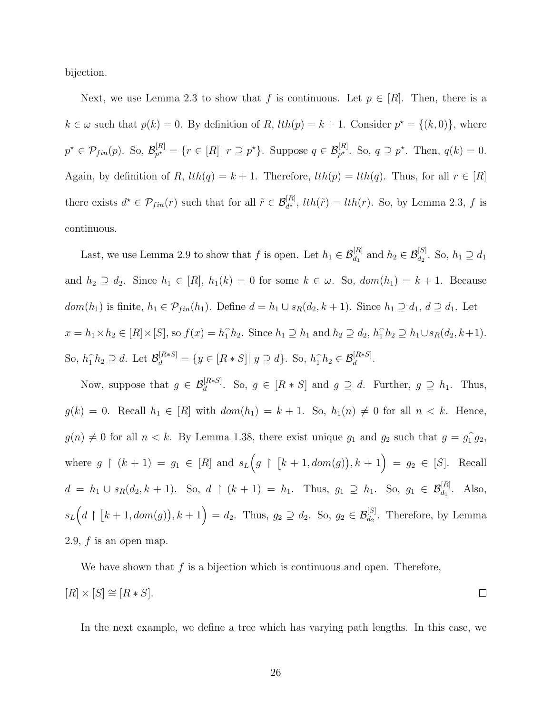bijection.

Next, we use Lemma 2.3 to show that f is continuous. Let  $p \in [R]$ . Then, there is a  $k \in \omega$  such that  $p(k) = 0$ . By definition of R,  $lth(p) = k + 1$ . Consider  $p^* = \{(k, 0)\}\,$ , where  $p^{\star} \in \mathcal{P}_{fin}(p)$ . So,  $\mathcal{B}_{p^{\star}}^{[R]}$  $p_r^{[R]} = \{r \in [R] | r \supseteq p^*\}.$  Suppose  $q \in \mathcal{B}_{p^*}^{[R]}$ . So,  $q \supseteq p^*$ . Then,  $q(k) = 0$ . Again, by definition of R,  $lth(q) = k + 1$ . Therefore,  $lth(p) = lth(q)$ . Thus, for all  $r \in [R]$ there exists  $d^* \in \mathcal{P}_{fin}(r)$  such that for all  $\tilde{r} \in \mathcal{B}_{d^*}^{[R]}$ ,  $lth(\tilde{r}) = lth(r)$ . So, by Lemma 2.3, f is continuous.

Last, we use Lemma 2.9 to show that f is open. Let  $h_1 \in \mathcal{B}_{d_1}^{[R]}$  and  $h_2 \in \mathcal{B}_{d_2}^{[S]}$ . So,  $h_1 \supseteq d_1$ and  $h_2 \supseteq d_2$ . Since  $h_1 \in [R]$ ,  $h_1(k) = 0$  for some  $k \in \omega$ . So,  $dom(h_1) = k + 1$ . Because  $dom(h_1)$  is finite,  $h_1 \in \mathcal{P}_{fin}(h_1)$ . Define  $d = h_1 \cup s_R(d_2, k+1)$ . Since  $h_1 \supseteq d_1$ ,  $d \supseteq d_1$ . Let  $x = h_1 \times h_2 \in [R] \times [S],$  so  $f(x) = h_1 \cap h_2$ . Since  $h_1 \supseteq h_1$  and  $h_2 \supseteq d_2$ ,  $h_1 \cap h_2 \supseteq h_1 \cup s_R(d_2, k+1)$ . So,  $h_1 \hat{h}_2 \supseteq d$ . Let  $\mathcal{B}_d^{[R*S]} = \{y \in [R*S] | y \supseteq d\}$ . So,  $h_1 \hat{h}_2 \in \mathcal{B}_d^{[R*S]}$ .

Now, suppose that  $g \in \mathcal{B}_d^{[R*S]}$ . So,  $g \in [R*S]$  and  $g \supseteq d$ . Further,  $g \supseteq h_1$ . Thus,  $g(k) = 0$ . Recall  $h_1 \in [R]$  with  $dom(h_1) = k + 1$ . So,  $h_1(n) \neq 0$  for all  $n < k$ . Hence,  $g(n) \neq 0$  for all  $n < k$ . By Lemma 1.38, there exist unique  $g_1$  and  $g_2$  such that  $g = g_1^2$  $\widehat{1} g_2,$ where  $g \restriction (k+1) = g_1 \in [R]$  and  $s_L(g \restriction [k+1, dom(g)), k+1) = g_2 \in [S]$ . Recall  $d = h_1 \cup s_R(d_2, k + 1)$ . So,  $d \upharpoonright (k + 1) = h_1$ . Thus,  $g_1 \supseteq h_1$ . So,  $g_1 \in \mathcal{B}_{d_1}^{[R]}$ . Also,  $s_L(d \upharpoonright [k+1, dom(g)), k+1) = d_2$ . Thus,  $g_2 \supseteq d_2$ . So,  $g_2 \in \mathcal{B}_{d_2}^{[S]}$ . Therefore, by Lemma 2.9,  $f$  is an open map.

We have shown that  $f$  is a bijection which is continuous and open. Therefore,

$$
[R] \times [S] \cong [R * S].
$$

In the next example, we define a tree which has varying path lengths. In this case, we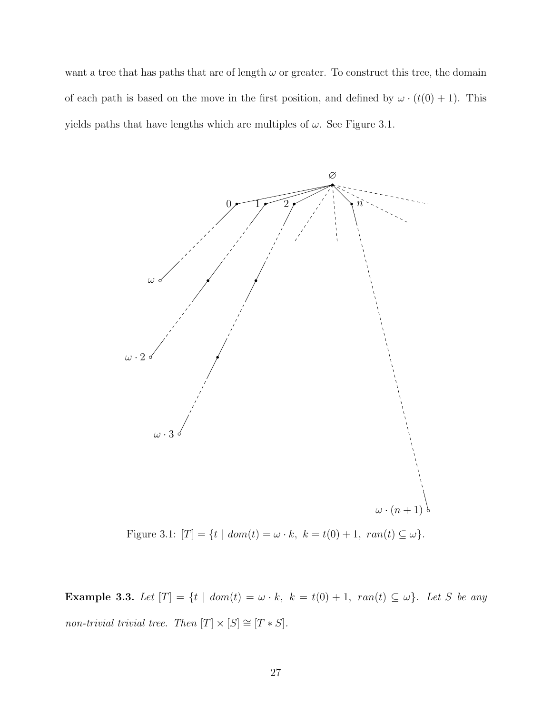want a tree that has paths that are of length  $\omega$  or greater. To construct this tree, the domain of each path is based on the move in the first position, and defined by  $\omega \cdot (t(0) + 1)$ . This yields paths that have lengths which are multiples of  $\omega$ . See Figure 3.1.



Figure 3.1:  $[T] = \{t \mid dom(t) = \omega \cdot k, \ k = t(0) + 1, \ ran(t) \subseteq \omega\}.$ 

Example 3.3. Let  $[T] = \{t \mid dom(t) = \omega \cdot k, k = t(0) + 1, ran(t) \subseteq \omega\}$ . Let S be any non-trivial trivial tree. Then  $[T] \times [S] \cong [T * S]$ .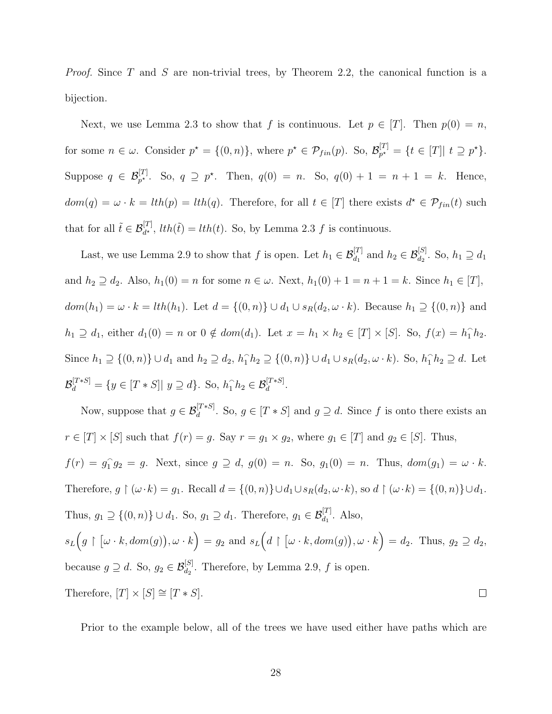*Proof.* Since T and S are non-trivial trees, by Theorem 2.2, the canonical function is a bijection.

Next, we use Lemma 2.3 to show that f is continuous. Let  $p \in [T]$ . Then  $p(0) = n$ , for some  $n \in \omega$ . Consider  $p^* = \{(0, n)\}\$ , where  $p^* \in \mathcal{P}_{fin}(p)$ . So,  $\mathcal{B}_{p^*}^{[T]}$  $p^{\star} = \{ t \in [T] | t \supseteq p^{\star} \}.$ Suppose  $q \in \mathcal{B}_{p^*}^{[T]}$ . So,  $q \supseteq p^*$ . Then,  $q(0) = n$ . So,  $q(0) + 1 = n + 1 = k$ . Hence,  $dom(q) = \omega \cdot k = lth(p) = lth(q)$ . Therefore, for all  $t \in [T]$  there exists  $d^* \in \mathcal{P}_{fin}(t)$  such that for all  $\tilde{t} \in \mathcal{B}_{d^*}^{[T]}$ ,  $lth(\tilde{t}) = lth(t)$ . So, by Lemma 2.3 f is continuous.

Last, we use Lemma 2.9 to show that f is open. Let  $h_1 \in \mathcal{B}_{d_1}^{[T]}$  and  $h_2 \in \mathcal{B}_{d_2}^{[S]}$ . So,  $h_1 \supseteq d_1$ and  $h_2 \supseteq d_2$ . Also,  $h_1(0) = n$  for some  $n \in \omega$ . Next,  $h_1(0) + 1 = n + 1 = k$ . Since  $h_1 \in [T]$ ,  $dom(h_1) = \omega \cdot k = lth(h_1)$ . Let  $d = \{(0, n)\} \cup d_1 \cup s_R(d_2, \omega \cdot k)$ . Because  $h_1 \supseteq \{(0, n)\}$  and  $h_1 \supseteq d_1$ , either  $d_1(0) = n$  or  $0 \notin dom(d_1)$ . Let  $x = h_1 \times h_2 \in [T] \times [S]$ . So,  $f(x) = h_1 \hat{h}_2$ . Since  $h_1 \supseteq \{(0,n)\} \cup d_1$  and  $h_2 \supseteq d_2$ ,  $h_1 \cap h_2 \supseteq \{(0,n)\} \cup d_1 \cup s_R(d_2,\omega \cdot k)$ . So,  $h_1 \cap h_2 \supseteq d$ . Let  $\mathcal{B}_d^{[T*S]} = \{y \in [T*S] | y \supseteq d\}.$  So,  $h_1 \hat{h}_2 \in \mathcal{B}_d^{[T*S]}.$ 

Now, suppose that  $g \in \mathcal{B}_d^{[T*S]}$ . So,  $g \in [T*S]$  and  $g \supseteq d$ . Since f is onto there exists an  $r \in [T] \times [S]$  such that  $f(r) = g$ . Say  $r = g_1 \times g_2$ , where  $g_1 \in [T]$  and  $g_2 \in [S]$ . Thus,

 $f(r) = g_1^{\hat{}}$  $ig_2 = g$ . Next, since  $g \supseteq d$ ,  $g(0) = n$ . So,  $g_1(0) = n$ . Thus,  $dom(g_1) = \omega \cdot k$ . Therefore,  $g \restriction (\omega \cdot k) = g_1$ . Recall  $d = \{(0, n)\} \cup d_1 \cup s_R(d_2, \omega \cdot k)$ , so  $d \restriction (\omega \cdot k) = \{(0, n)\} \cup d_1$ . Thus,  $g_1 \supseteq \{(0, n)\} \cup d_1$ . So,  $g_1 \supseteq d_1$ . Therefore,  $g_1 \in \mathcal{B}_{d_1}^{[T]}$ . Also,  $s_L(g \restriction [\omega \cdot k, dom(g)), \omega \cdot k) = g_2$  and  $s_L(d \restriction [\omega \cdot k, dom(g)), \omega \cdot k) = d_2$ . Thus,  $g_2 \supseteq d_2$ , because  $g \supseteq d$ . So,  $g_2 \in \mathcal{B}_{d_2}^{[S]}$ . Therefore, by Lemma 2.9, f is open. Therefore,  $[T] \times [S] \cong [T * S].$  $\Box$ 

Prior to the example below, all of the trees we have used either have paths which are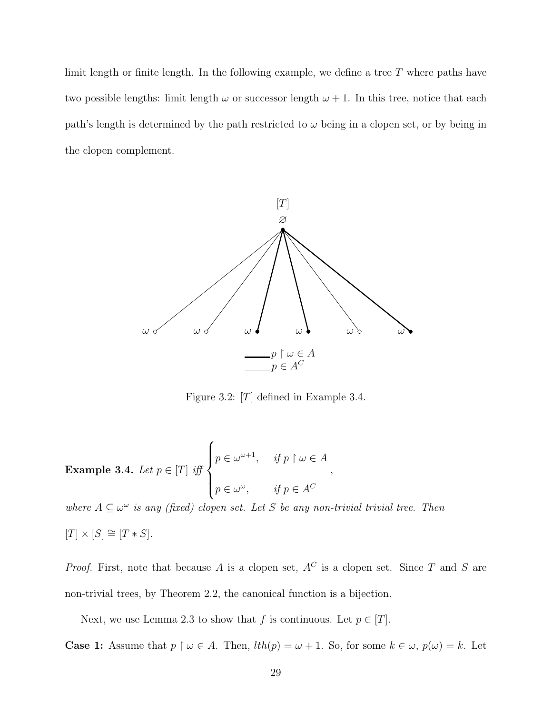limit length or finite length. In the following example, we define a tree T where paths have two possible lengths: limit length  $\omega$  or successor length  $\omega + 1$ . In this tree, notice that each path's length is determined by the path restricted to  $\omega$  being in a clopen set, or by being in the clopen complement.



Figure 3.2:  $[T]$  defined in Example 3.4.

,

**Example 3.4.** Let 
$$
p \in [T]
$$
 iff 
$$
\begin{cases} p \in \omega^{\omega+1}, & \text{if } p \upharpoonright \omega \in A \\ p \in \omega^{\omega}, & \text{if } p \in A^C \end{cases}
$$

where  $A \subseteq \omega^{\omega}$  is any (fixed) clopen set. Let S be any non-trivial trivial tree. Then  $[T] \times [S] \cong [T * S].$ 

*Proof.* First, note that because A is a clopen set,  $A^C$  is a clopen set. Since T and S are non-trivial trees, by Theorem 2.2, the canonical function is a bijection.

Next, we use Lemma 2.3 to show that f is continuous. Let  $p \in [T]$ .

**Case 1:** Assume that  $p \restriction \omega \in A$ . Then,  $lth(p) = \omega + 1$ . So, for some  $k \in \omega$ ,  $p(\omega) = k$ . Let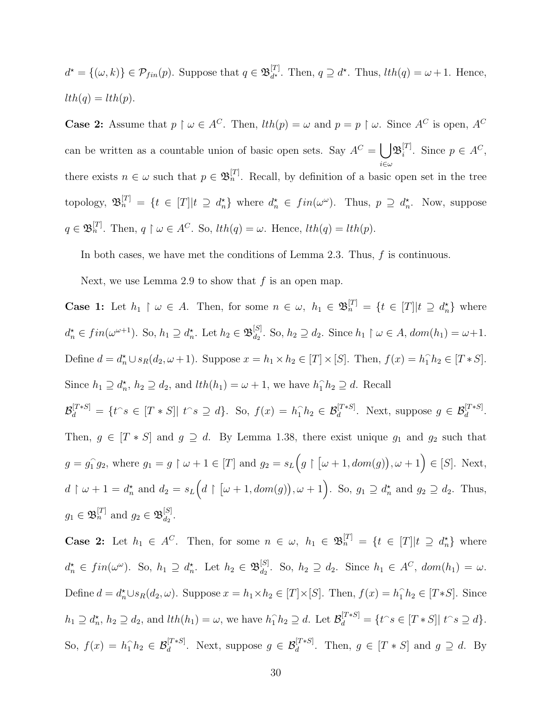$d^* = \{(\omega, k)\} \in \mathcal{P}_{fin}(p)$ . Suppose that  $q \in \mathfrak{B}_{d^*}^{[T]}$ <sup>[*I*</sup>]. Then,  $q \supseteq d^*$ . Thus,  $lth(q) = \omega + 1$ . Hence,  $lth(q) = lth(p).$ 

**Case 2:** Assume that  $p \restriction \omega \in A^C$ . Then,  $lth(p) = \omega$  and  $p = p \restriction \omega$ . Since  $A^C$  is open,  $A^C$ can be written as a countable union of basic open sets. Say  $A^C = \begin{bmatrix} 1 \end{bmatrix}$  $i\in\omega$  $\mathfrak{B}_i^{[T]}$  $i^{[T]}$ . Since  $p \in A^C$ , there exists  $n \in \omega$  such that  $p \in \mathfrak{B}_n^{[T]}$ . Recall, by definition of a basic open set in the tree topology,  $\mathfrak{B}_n^{[T]} = \{t \in [T] | t \supseteq d_n^{\star}\}\$  where  $d_n^{\star} \in fin(\omega^{\omega})$ . Thus,  $p \supseteq d_n^{\star}$ . Now, suppose  $q \in \mathfrak{B}_n^{[T]}$ . Then,  $q \restriction \omega \in A^C$ . So,  $lth(q) = \omega$ . Hence,  $lth(q) = lth(p)$ .

In both cases, we have met the conditions of Lemma 2.3. Thus, f is continuous.

Next, we use Lemma 2.9 to show that  $f$  is an open map.

**Case 1:** Let  $h_1 \restriction \omega \in A$ . Then, for some  $n \in \omega$ ,  $h_1 \in \mathfrak{B}_n^{[T]} = \{t \in [T] | t \supseteq d_n^{\star}\}\$  where  $d_n^{\star} \in fin(\omega^{\omega+1})$ . So,  $h_1 \supseteq d_n^{\star}$ . Let  $h_2 \in \mathfrak{B}_{d_2}^{[S]}$  $\omega_{d_2}^{[S]}$ . So,  $h_2 \supseteq d_2$ . Since  $h_1 \upharpoonright \omega \in A$ ,  $dom(h_1) = \omega + 1$ . Define  $d = d_n^* \cup s_R(d_2, \omega + 1)$ . Suppose  $x = h_1 \times h_2 \in [T] \times [S]$ . Then,  $f(x) = h_1 \hat{h}_2 \in [T * S]$ . Since  $h_1 \supseteq d_n^*$ ,  $h_2 \supseteq d_2$ , and  $lth(h_1) = \omega + 1$ , we have  $h_1 \cap h_2 \supseteq d$ . Recall

 $\mathcal{B}_d^{[T*S]} = \{t \in \mathcal{B} \in [T*S] | t \in \mathcal{B} \supseteq d\}.$  So,  $f(x) = h_1 \cap h_2 \in \mathcal{B}_d^{[T*S]}$ . Next, suppose  $g \in \mathcal{B}_d^{[T*S]}$ . Then,  $g \in [T * S]$  and  $g \supseteq d$ . By Lemma 1.38, there exist unique  $g_1$  and  $g_2$  such that  $g = g_1^{\hat{}}$  $\hat{f}_1 g_2$ , where  $g_1 = g \upharpoonright \omega + 1 \in [T]$  and  $g_2 = s_L(g \upharpoonright [\omega + 1, dom(g)), \omega + 1) \in [S]$ . Next,  $d \restriction \omega + 1 = d_n^{\star}$  and  $d_2 = s_L(d \restriction [\omega + 1, dom(g)), \omega + 1)$ . So,  $g_1 \supseteq d_n^{\star}$  and  $g_2 \supseteq d_2$ . Thus,  $g_1 \in \mathfrak{B}_n^{[T]}$  and  $g_2 \in \mathfrak{B}_{d_2}^{[S]}$  $\frac{1}{d_2}$ .

**Case 2:** Let  $h_1 \in A^C$ . Then, for some  $n \in \omega$ ,  $h_1 \in \mathfrak{B}_n^{[T]} = \{t \in [T] | t \supseteq d_n^{\star}\}\$  where  $d_n^{\star} \in fin(\omega^{\omega})$ . So,  $h_1 \supseteq d_n^{\star}$ . Let  $h_2 \in \mathfrak{B}_{d_2}^{[S]}$  $d_2^{[S]}$ . So,  $h_2 \supseteq d_2$ . Since  $h_1 \in A^C$ ,  $dom(h_1) = \omega$ . Define  $d = d_n^* \cup s_R(d_2, \omega)$ . Suppose  $x = h_1 \times h_2 \in [T] \times [S]$ . Then,  $f(x) = h_1^h h_2 \in [T \ast S]$ . Since  $h_1 \supseteq d_n^{\star}, h_2 \supseteq d_2$ , and  $lth(h_1) = \omega$ , we have  $h_1 \cap h_2 \supseteq d$ . Let  $\mathcal{B}_d^{[T*S]} = \{t \cap s \in [T*S] | t \cap s \supseteq d\}$ . So,  $f(x) = h_1 \hat{h}_2 \in \mathcal{B}_d^{[T*S]}$ . Next, suppose  $g \in \mathcal{B}_d^{[T*S]}$ . Then,  $g \in [T*S]$  and  $g \supseteq d$ . By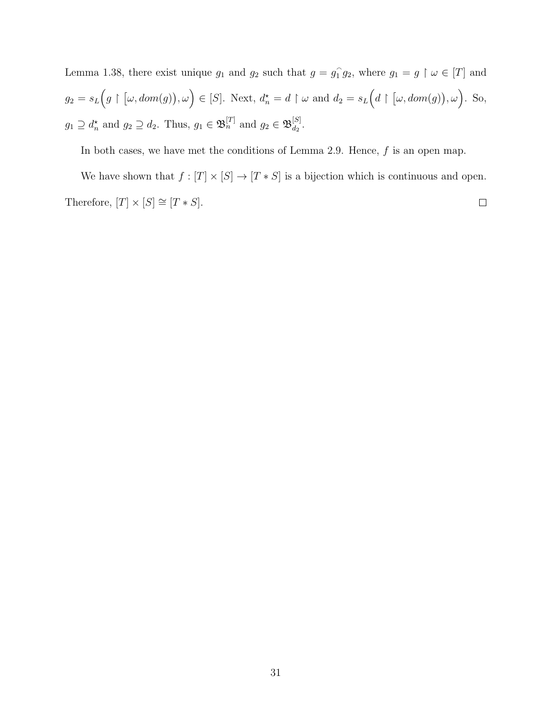Lemma 1.38, there exist unique  $g_1$  and  $g_2$  such that  $g = g_1^2$  $ig_2$ , where  $g_1 = g \restriction \omega \in [T]$  and  $g_2 = s_L(g \restriction [\omega, dom(g)), \omega) \in [S]$ . Next,  $d_n^* = d \restriction \omega$  and  $d_2 = s_L(d \restriction [\omega, dom(g)), \omega)$ . So,  $g_1 \supseteq d_n^{\star}$  and  $g_2 \supseteq d_2$ . Thus,  $g_1 \in \mathfrak{B}_n^{[T]}$  and  $g_2 \in \mathfrak{B}_{d_2}^{[S]}$  $\frac{|\mathcal{S}|}{d_2}$ .

In both cases, we have met the conditions of Lemma 2.9. Hence,  $f$  is an open map.

We have shown that  $f : [T] \times [S] \rightarrow [T*S]$  is a bijection which is continuous and open. Therefore,  $[T]\times[S]\cong[T*S].$  $\Box$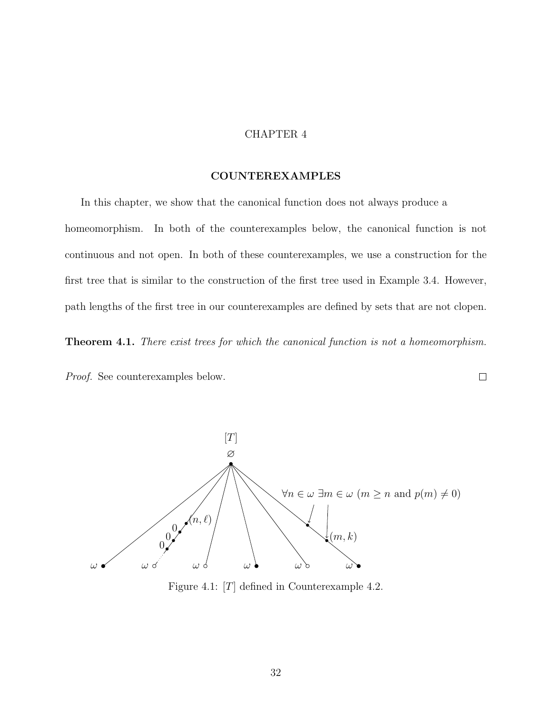#### CHAPTER 4

#### COUNTEREXAMPLES

In this chapter, we show that the canonical function does not always produce a homeomorphism. In both of the counterexamples below, the canonical function is not continuous and not open. In both of these counterexamples, we use a construction for the first tree that is similar to the construction of the first tree used in Example 3.4. However, path lengths of the first tree in our counterexamples are defined by sets that are not clopen.

Theorem 4.1. There exist trees for which the canonical function is not a homeomorphism.

 $\Box$ 

Proof. See counterexamples below.



Figure 4.1: [T] defined in Counterexample 4.2.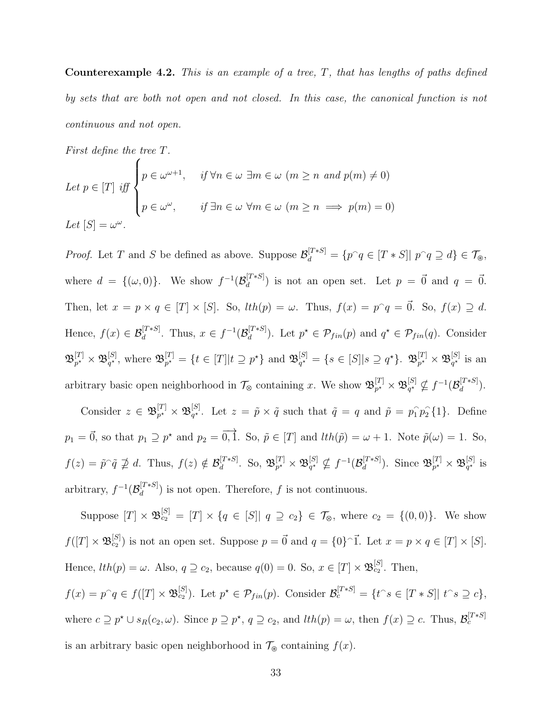**Counterexample 4.2.** This is an example of a tree,  $T$ , that has lengths of paths defined by sets that are both not open and not closed. In this case, the canonical function is not continuous and not open.

First define the tree T.

Let 
$$
p \in [T]
$$
 iff  $\begin{cases} p \in \omega^{\omega+1}, & \text{if } \forall n \in \omega \ \exists m \in \omega \ (m \ge n \ \text{and } p(m) \neq 0) \\ p \in \omega^{\omega}, & \text{if } \exists n \in \omega \ \forall m \in \omega \ (m \ge n \implies p(m) = 0) \end{cases}$   
Let  $[S] = \omega^{\omega}$ .

*Proof.* Let T and S be defined as above. Suppose  $\mathcal{B}_d^{[T*S]} = \{p \cap q \in [T*S] | p \cap q \supseteq d\} \in \mathcal{T}_{\mathcal{B}}$ , where  $d = \{(\omega, 0)\}\.$  We show  $f^{-1}(\mathcal{B}_d^{[T*S]}$  $\mathcal{L}^{[T*S]}_{d}$  is not an open set. Let  $p = \vec{0}$  and  $q = \vec{0}$ . Then, let  $x = p \times q \in [T] \times [S]$ . So,  $lth(p) = \omega$ . Thus,  $f(x) = p^q = \vec{0}$ . So,  $f(x) \supseteq d$ . Hence,  $f(x) \in \mathcal{B}_d^{[T*S]}$ . Thus,  $x \in f^{-1}(\mathcal{B}_d^{[T*S]}$  $\mathbb{P}_{d}^{[T*S]}$ . Let  $p^* \in \mathcal{P}_{fin}(p)$  and  $q^* \in \mathcal{P}_{fin}(q)$ . Consider  $\mathfrak{B}^{[T]}_{n^\star}$  $p^\star \times \mathfrak{B}_{q^\star}^{[S]}$  $_{q^{\star}}^{[S]}$ , where  $\mathfrak{B}_{p^{\star}}^{[T]}$  $p^{[T]}_{p^*} = \{ t \in [T] | t \supseteq p^* \}$  and  $\mathfrak{B}_{q^*}^{[S]}$  $_{q^\star}^{[S]}=\{s\in [S]|s\supseteq q^\star\}$ .  $\mathfrak{B}_{p^\star}^{[T]}$  $p^\star \times \mathfrak{B}_{q^\star}^{[S]}$  $q^{\star}$  is an arbitrary basic open neighborhood in  $\mathcal{T}_{\otimes}$  containing x. We show  $\mathfrak{B}_{p^*}^{[T]}$  $_{p^{\star}}^{[T]}\times\mathfrak{B}_{q^{\star}}^{[S]}$  $_{q^\star}^{[S]} \nsubseteq f^{-1}(\mathcal{B}_d^{[T*S]})$  $\frac{d}{d}^{[I * S]}$ ).

Consider  $z \in \mathfrak{B}_{n^{\star}}^{[T]}$  $p^\star \times \mathfrak{B}_{q^\star}^{[S]}$ <sup>[S]</sup>. Let  $z = \tilde{p} \times \tilde{q}$  such that  $\tilde{q} = q$  and  $\tilde{p} = p_1 \tilde{p}_2 \{1\}$ . Define  $p_1 = \vec{0}$ , so that  $p_1 \supseteq p^*$  and  $p_2 = \vec{0}$ ,  $\vec{1}$ . So,  $\tilde{p} \in [T]$  and  $lth(\tilde{p}) = \omega + 1$ . Note  $\tilde{p}(\omega) = 1$ . So,  $f(z) = \tilde{p}^{\cap} \tilde{q} \not\supseteq d$ . Thus,  $f(z) \notin \mathcal{B}_d^{[T*S]}$  $\begin{bmatrix} [T*S] \ d \end{bmatrix}$ . So,  $\mathfrak{B}^{[T]}_{p^{\star}}$  $p^\star \times \mathfrak{B}_{q^\star}^{[S]}$  $_{q^\star}^{[S]} \nsubseteq f^{-1}(\mathcal{B}_d^{[T*S]})$  $\mathbb{E}_d^{[T*S]}$ ). Since  $\mathfrak{B}_{p^{\star}}^{[T]}$  $p^\star \times \mathfrak{B}_{q^\star}^{[S]}$  $q^{\star}$  is arbitrary,  $f^{-1}(\mathcal{B}_d^{[T*S]})$  $\binom{[I^{*} \star S]}{d}$  is not open. Therefore, f is not continuous.

Suppose  $[T] \times \mathfrak{B}_{c_2}^{[S]} = [T] \times \{q \in [S] | q \supseteq c_2\} \in \mathcal{T}_{\otimes}$ , where  $c_2 = \{(0,0)\}$ . We show  $f([T] \times \mathfrak{B}^{[S]}_{c_2})$  is not an open set. Suppose  $p = \vec{0}$  and  $q = \{0\}^{\frown} \vec{1}$ . Let  $x = p \times q \in [T] \times [S]$ . Hence,  $lth(p) = \omega$ . Also,  $q \supseteq c_2$ , because  $q(0) = 0$ . So,  $x \in [T] \times \mathfrak{B}_{c_2}^{[S]}$ . Then,

 $f(x) = p^q \in f([T] \times \mathfrak{B}_{c_2}^{[S]})$ . Let  $p^* \in \mathcal{P}_{fin}(p)$ . Consider  $\mathcal{B}_c^{[T*S]} = \{t \in [T*S] | t \in S \supseteq c\}$ , where  $c \supseteq p^* \cup s_R(c_2, \omega)$ . Since  $p \supseteq p^*$ ,  $q \supseteq c_2$ , and  $lth(p) = \omega$ , then  $f(x) \supseteq c$ . Thus,  $\mathcal{B}_c^{[T*S]}$ is an arbitrary basic open neighborhood in  $\mathcal{T}_{\circledast}$  containing  $f(x)$ .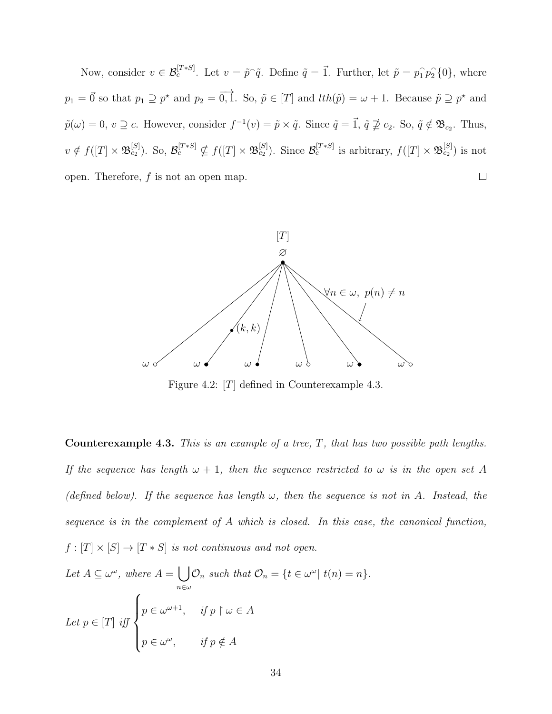Now, consider  $v \in \mathcal{B}_c^{[T*S]}$ . Let  $v = \tilde{p}^{\cap} \tilde{q}$ . Define  $\tilde{q} = \vec{1}$ . Further, let  $\tilde{p} = p_1^{\cap} p_2^{\cap} \{0\}$ , where  $p_1 = \vec{0}$  so that  $p_1 \supseteq p^*$  and  $p_2 = \vec{0, 1}$ . So,  $\tilde{p} \in [T]$  and  $lth(\tilde{p}) = \omega + 1$ . Because  $\tilde{p} \supseteq p^*$  and  $\tilde{p}(\omega) = 0, v \supseteq c$ . However, consider  $f^{-1}(v) = \tilde{p} \times \tilde{q}$ . Since  $\tilde{q} = \vec{1}, \tilde{q} \not\supseteq c_2$ . So,  $\tilde{q} \notin \mathfrak{B}_{c_2}$ . Thus,  $v \notin f([T] \times \mathfrak{B}_{c_2}^{[S]})$ . So,  $\mathcal{B}_c^{[T*S]} \nsubseteq f([T] \times \mathfrak{B}_{c_2}^{[S]})$ . Since  $\mathcal{B}_c^{[T*S]}$  is arbitrary,  $f([T] \times \mathfrak{B}_{c_2}^{[S]})$  is not open. Therefore,  $f$  is not an open map.  $\Box$ 



Figure 4.2: [T] defined in Counterexample 4.3.

**Counterexample 4.3.** This is an example of a tree,  $T$ , that has two possible path lengths. If the sequence has length  $\omega + 1$ , then the sequence restricted to  $\omega$  is in the open set A (defined below). If the sequence has length  $\omega$ , then the sequence is not in A. Instead, the sequence is in the complement of A which is closed. In this case, the canonical function,  $f : [T] \times [S] \rightarrow [T * S]$  is not continuous and not open.

Let 
$$
A \subseteq \omega^{\omega}
$$
, where  $A = \bigcup_{n \in \omega} \mathcal{O}_n$  such that  $\mathcal{O}_n = \{t \in \omega^{\omega} | t(n) = n\}.$   
Let  $p \in [T]$  iff 
$$
\begin{cases} p \in \omega^{\omega+1}, & \text{if } p \upharpoonright \omega \in A \\ p \in \omega^{\omega}, & \text{if } p \notin A \end{cases}
$$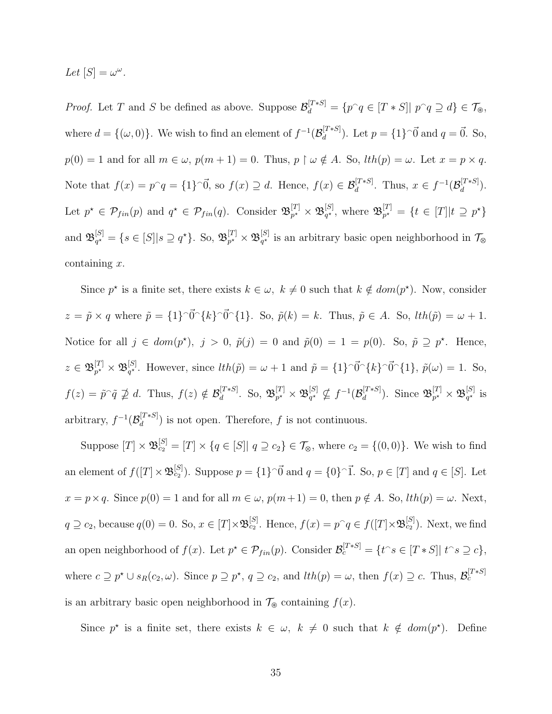Let  $[S] = \omega^{\omega}$ .

*Proof.* Let T and S be defined as above. Suppose  $\mathcal{B}_d^{[T*S]} = \{p \cap q \in [T*S] | p \cap q \supseteq d\} \in \mathcal{T}_{\mathcal{B}}$ , where  $d = \{(\omega, 0)\}\.$  We wish to find an element of  $f^{-1}(\mathcal{B}_d^{[T*S]})$  $\mathcal{L}_{d}^{[T*S]}$ ). Let  $p = \{1\}^{\cap} \vec{0}$  and  $q = \vec{0}$ . So,  $p(0) = 1$  and for all  $m \in \omega$ ,  $p(m + 1) = 0$ . Thus,  $p \restriction \omega \notin A$ . So,  $lth(p) = \omega$ . Let  $x = p \times q$ . Note that  $f(x) = p^q = \{1\}^{\overline{0}},$  so  $f(x) \supseteq d$ . Hence,  $f(x) \in \mathcal{B}_d^{[T*S]}$ . Thus,  $x \in f^{-1}(\mathcal{B}_d^{[T*S]})$  $\frac{d}{d}^{[I * S]}$ ). Let  $p^* \in \mathcal{P}_{fin}(p)$  and  $q^* \in \mathcal{P}_{fin}(q)$ . Consider  $\mathfrak{B}_{p^*}^{[T]}$  $p^\star \times \mathfrak{B}_{q^\star}^{[S]}$  $_{q^{\star}}^{[S]}$ , where  $\mathfrak{B}_{p^{\star}}^{[T]}$  $p^{\star} = \{ t \in [T] | t \supseteq p^{\star} \}$ and  $\mathfrak{B}_{a^{\star}}^{[S]}$  $_{q^{\star}}^{[S]} = \{s \in [S] | s \supseteq q^{\star}\}.$  So,  $\mathfrak{B}_{p^{\star}}^{[T]}$  $p^\star \times \mathfrak{B}_{q^\star}^{[S]}$  $q^{\star}$  is an arbitrary basic open neighborhood in  $\mathcal{T}_{\otimes}$ containing  $x$ .

Since  $p^*$  is a finite set, there exists  $k \in \omega$ ,  $k \neq 0$  such that  $k \notin dom(p^*)$ . Now, consider  $z = \tilde{p} \times q$  where  $\tilde{p} = \{1\}^{\tilde{0}} \{k\}^{\tilde{0}} \{1\}$ . So,  $\tilde{p}(k) = k$ . Thus,  $\tilde{p} \in A$ . So,  $lth(\tilde{p}) = \omega + 1$ . Notice for all  $j \in dom(p^*)$ ,  $j > 0$ ,  $\tilde{p}(j) = 0$  and  $\tilde{p}(0) = 1 = p(0)$ . So,  $\tilde{p} \supseteq p^*$ . Hence,  $z\in \mathfrak{B}_{n^\star}^{[T]}$  $p^\star \times \mathfrak{B}_{q^\star}^{[S]}$ <sup>[S]</sup>. However, since  $lth(\tilde{p}) = \omega + 1$  and  $\tilde{p} = \{1\}^{\cap} \vec{0}^{\cap} \{k\}^{\cap} \vec{0}^{\cap} \{1\}$ ,  $\tilde{p}(\omega) = 1$ . So,  $f(z) = \tilde{p}^{\cap} \tilde{q} \not\supseteq d$ . Thus,  $f(z) \notin \mathcal{B}_d^{[T*S]}$  $\begin{bmatrix} T*S \end{bmatrix}$ . So,  $\mathfrak{B}^{[T]}_{p^{\star}}$  $p^\star \times \mathfrak{B}_{q^\star}^{[S]}$  $_{q^\star}^{[S]} \nsubseteq f^{-1}(\mathcal{B}_d^{[T*S]})$  $\mathbb{E}_d^{[T*S]}$ ). Since  $\mathfrak{B}_{p^{\star}}^{[T]}$  $p^\star \times \mathfrak{B}_{q^\star}^{[S]}$  $q^{\star}$  is arbitrary,  $f^{-1}(\mathcal{B}_d^{[T*S]})$  $\binom{d^{(1)}+S}{d}$  is not open. Therefore, f is not continuous.

Suppose  $[T] \times \mathfrak{B}_{c_2}^{[S]} = [T] \times \{q \in [S] | q \supseteq c_2\} \in \mathcal{T}_{\otimes}$ , where  $c_2 = \{(0,0)\}$ . We wish to find an element of  $f([T] \times \mathfrak{B}_{c_2}^{[S]})$ . Suppose  $p = \{1\}^{\cap} \vec{0}$  and  $q = \{0\}^{\cap} \vec{1}$ . So,  $p \in [T]$  and  $q \in [S]$ . Let  $x = p \times q$ . Since  $p(0) = 1$  and for all  $m \in \omega$ ,  $p(m+1) = 0$ , then  $p \notin A$ . So,  $lth(p) = \omega$ . Next,  $q \supseteq c_2$ , because  $q(0) = 0$ . So,  $x \in [T] \times \mathfrak{B}_{c_2}^{[S]}$ . Hence,  $f(x) = p^{\frown} q \in f([T] \times \mathfrak{B}_{c_2}^{[S]})$ . Next, we find an open neighborhood of  $f(x)$ . Let  $p^* \in \mathcal{P}_{fin}(p)$ . Consider  $\mathcal{B}_c^{[T*S]} = \{t \circ \in [T*S] | t \circ s \supseteq c\},\$ where  $c \supseteq p^* \cup s_R(c_2, \omega)$ . Since  $p \supseteq p^*$ ,  $q \supseteq c_2$ , and  $lth(p) = \omega$ , then  $f(x) \supseteq c$ . Thus,  $\mathcal{B}_c^{[T*S]}$ is an arbitrary basic open neighborhood in  $\mathcal{T}_{\otimes}$  containing  $f(x)$ .

Since  $p^*$  is a finite set, there exists  $k \in \omega$ ,  $k \neq 0$  such that  $k \notin dom(p^*)$ . Define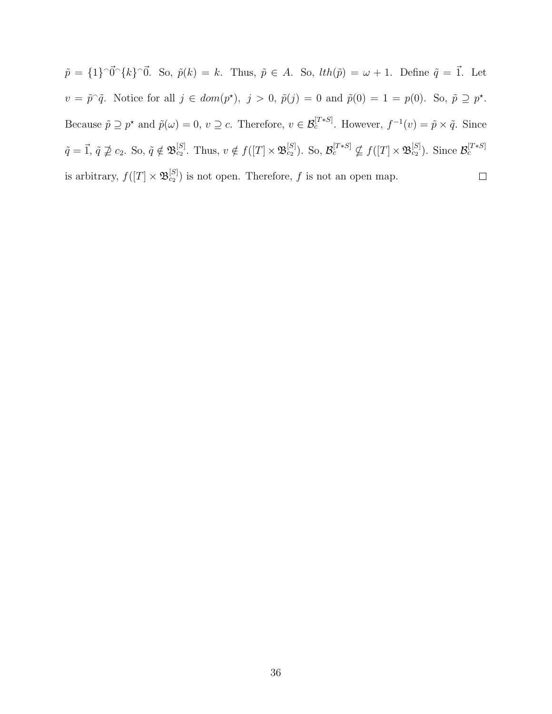$\tilde{p} = \{1\} \cap \vec{0} \cap \{k\} \cap \vec{0}$ . So,  $\tilde{p}(k) = k$ . Thus,  $\tilde{p} \in A$ . So,  $lth(\tilde{p}) = \omega + 1$ . Define  $\tilde{q} = \vec{1}$ . Let  $v = \tilde{p}^{\hat{}}\tilde{q}$ . Notice for all  $j \in dom(p^*)$ ,  $j > 0$ ,  $\tilde{p}(j) = 0$  and  $\tilde{p}(0) = 1 = p(0)$ . So,  $\tilde{p} \supseteq p^*$ . Because  $\tilde{p} \supseteq p^*$  and  $\tilde{p}(\omega) = 0$ ,  $v \supseteq c$ . Therefore,  $v \in \mathcal{B}_c^{[T*S]}$ . However,  $f^{-1}(v) = \tilde{p} \times \tilde{q}$ . Since  $\tilde{q} = \vec{1}, \tilde{q} \ngeq c_2$ . So,  $\tilde{q} \notin \mathfrak{B}_{c_2}^{[S]}$ . Thus,  $v \notin f([T] \times \mathfrak{B}_{c_2}^{[S]})$ . So,  $\mathcal{B}_c^{[T*S]} \nsubseteq f([T] \times \mathfrak{B}_{c_2}^{[S]})$ . Since  $\mathcal{B}_c^{[T*S]}$ is arbitrary,  $f([T] \times \mathfrak{B}_{c_2}^{[S]})$  is not open. Therefore, f is not an open map.  $\Box$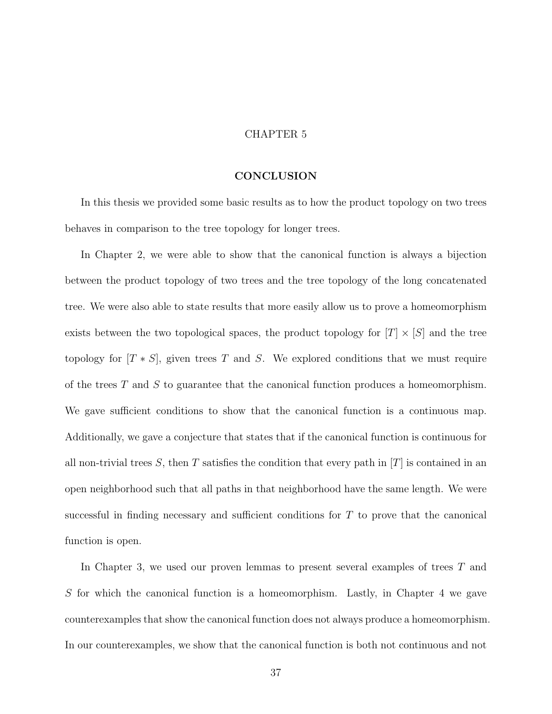#### CHAPTER 5

#### CONCLUSION

In this thesis we provided some basic results as to how the product topology on two trees behaves in comparison to the tree topology for longer trees.

In Chapter 2, we were able to show that the canonical function is always a bijection between the product topology of two trees and the tree topology of the long concatenated tree. We were also able to state results that more easily allow us to prove a homeomorphism exists between the two topological spaces, the product topology for  $|T| \times |S|$  and the tree topology for  $[T * S]$ , given trees T and S. We explored conditions that we must require of the trees  $T$  and  $S$  to guarantee that the canonical function produces a homeomorphism. We gave sufficient conditions to show that the canonical function is a continuous map. Additionally, we gave a conjecture that states that if the canonical function is continuous for all non-trivial trees S, then T satisfies the condition that every path in  $[T]$  is contained in an open neighborhood such that all paths in that neighborhood have the same length. We were successful in finding necessary and sufficient conditions for T to prove that the canonical function is open.

In Chapter 3, we used our proven lemmas to present several examples of trees T and S for which the canonical function is a homeomorphism. Lastly, in Chapter 4 we gave counterexamples that show the canonical function does not always produce a homeomorphism. In our counterexamples, we show that the canonical function is both not continuous and not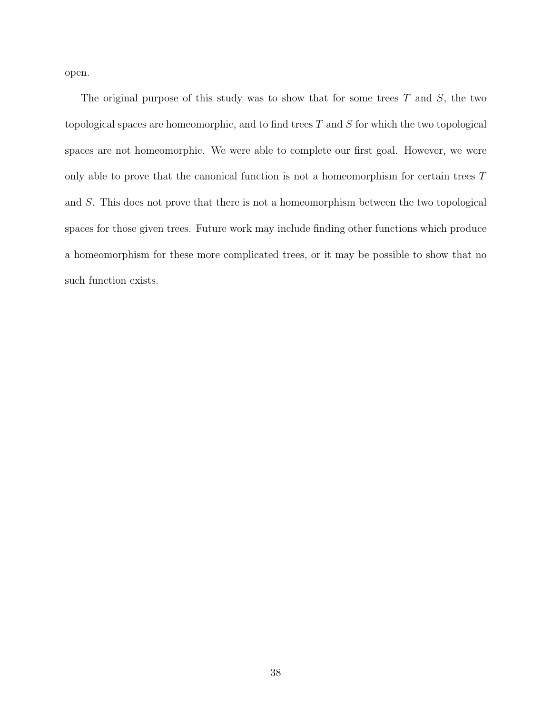open.

The original purpose of this study was to show that for some trees  $T$  and  $S$ , the two topological spaces are homeomorphic, and to find trees  $T$  and  $S$  for which the two topological spaces are not homeomorphic. We were able to complete our first goal. However, we were only able to prove that the canonical function is not a homeomorphism for certain trees T and S. This does not prove that there is not a homeomorphism between the two topological spaces for those given trees. Future work may include finding other functions which produce a homeomorphism for these more complicated trees, or it may be possible to show that no such function exists.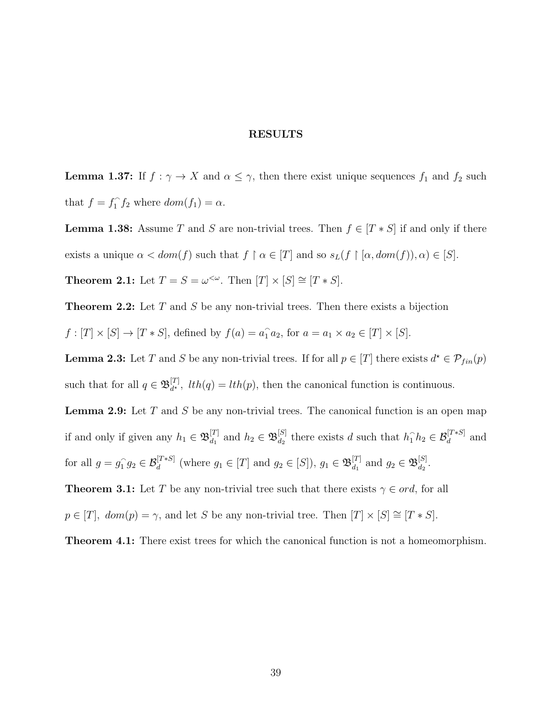#### RESULTS

**Lemma 1.37:** If  $f : \gamma \to X$  and  $\alpha \leq \gamma$ , then there exist unique sequences  $f_1$  and  $f_2$  such that  $f = f_1^{\frown}$  $\int_1^{\infty} f_2$  where  $dom(f_1) = \alpha$ .

**Lemma 1.38:** Assume T and S are non-trivial trees. Then  $f \in [T * S]$  if and only if there exists a unique  $\alpha < dom(f)$  such that  $f \restriction \alpha \in [T]$  and so  $s_L(f \restriction [\alpha, dom(f)), \alpha) \in [S]$ . **Theorem 2.1:** Let  $T = S = \omega^{\lt \omega}$ . Then  $[T] \times [S] \cong [T * S]$ .

**Theorem 2.2:** Let  $T$  and  $S$  be any non-trivial trees. Then there exists a bijection

 $f:[T] \times [S] \to [T*S]$ , defined by  $f(a) = a_1 \cdot a_2$ , for  $a = a_1 \times a_2 \in [T] \times [S]$ .

**Lemma 2.3:** Let T and S be any non-trivial trees. If for all  $p \in [T]$  there exists  $d^* \in \mathcal{P}_{fin}(p)$ such that for all  $q \in \mathfrak{B}_{d^{\star}}^{[T]}$  $d_{d^*}^{[1]}$ ,  $lth(q) = lth(p)$ , then the canonical function is continuous.

**Lemma 2.9:** Let  $T$  and  $S$  be any non-trivial trees. The canonical function is an open map if and only if given any  $h_1 \in \mathfrak{B}_{d_1}^{[T]}$  $d_1^{[T]}$  and  $h_2 \in \mathfrak{B}_{d_2}^{[S]}$  $d_2$  there exists d such that  $h_1 \hat{h}_2 \in \mathcal{B}_d^{[T*S]}$  and for all  $g = g_1^{\frown}$  $g_1 \circ g_2 \in \mathcal{B}_d^{[T*S]}$  (where  $g_1 \in [T]$  and  $g_2 \in [S]$ ),  $g_1 \in \mathfrak{B}_{d_1}^{[T]}$  $\begin{bmatrix} [T] & \text{and} \ g_2 \in \mathfrak{B}_{d_2}^{[S]} \end{bmatrix}$  $\frac{15}{d_2}$ .

**Theorem 3.1:** Let T be any non-trivial tree such that there exists  $\gamma \in ord$ , for all

 $p \in [T]$ ,  $dom(p) = \gamma$ , and let S be any non-trivial tree. Then  $[T] \times [S] \cong [T * S]$ .

Theorem 4.1: There exist trees for which the canonical function is not a homeomorphism.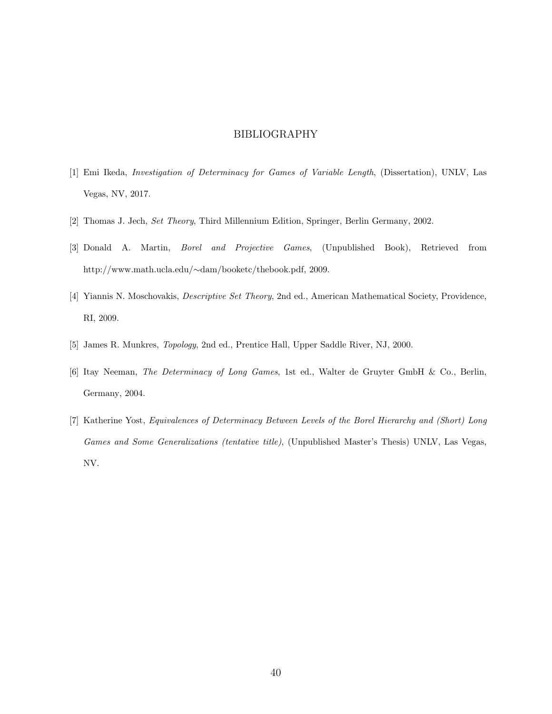#### BIBLIOGRAPHY

- [1] Emi Ikeda, Investigation of Determinacy for Games of Variable Length, (Dissertation), UNLV, Las Vegas, NV, 2017.
- [2] Thomas J. Jech, Set Theory, Third Millennium Edition, Springer, Berlin Germany, 2002.
- [3] Donald A. Martin, Borel and Projective Games, (Unpublished Book), Retrieved from http://www.math.ucla.edu/∼dam/booketc/thebook.pdf, 2009.
- [4] Yiannis N. Moschovakis, Descriptive Set Theory, 2nd ed., American Mathematical Society, Providence, RI, 2009.
- [5] James R. Munkres, Topology, 2nd ed., Prentice Hall, Upper Saddle River, NJ, 2000.
- [6] Itay Neeman, The Determinacy of Long Games, 1st ed., Walter de Gruyter GmbH & Co., Berlin, Germany, 2004.
- [7] Katherine Yost, Equivalences of Determinacy Between Levels of the Borel Hierarchy and (Short) Long Games and Some Generalizations (tentative title), (Unpublished Master's Thesis) UNLV, Las Vegas, NV.